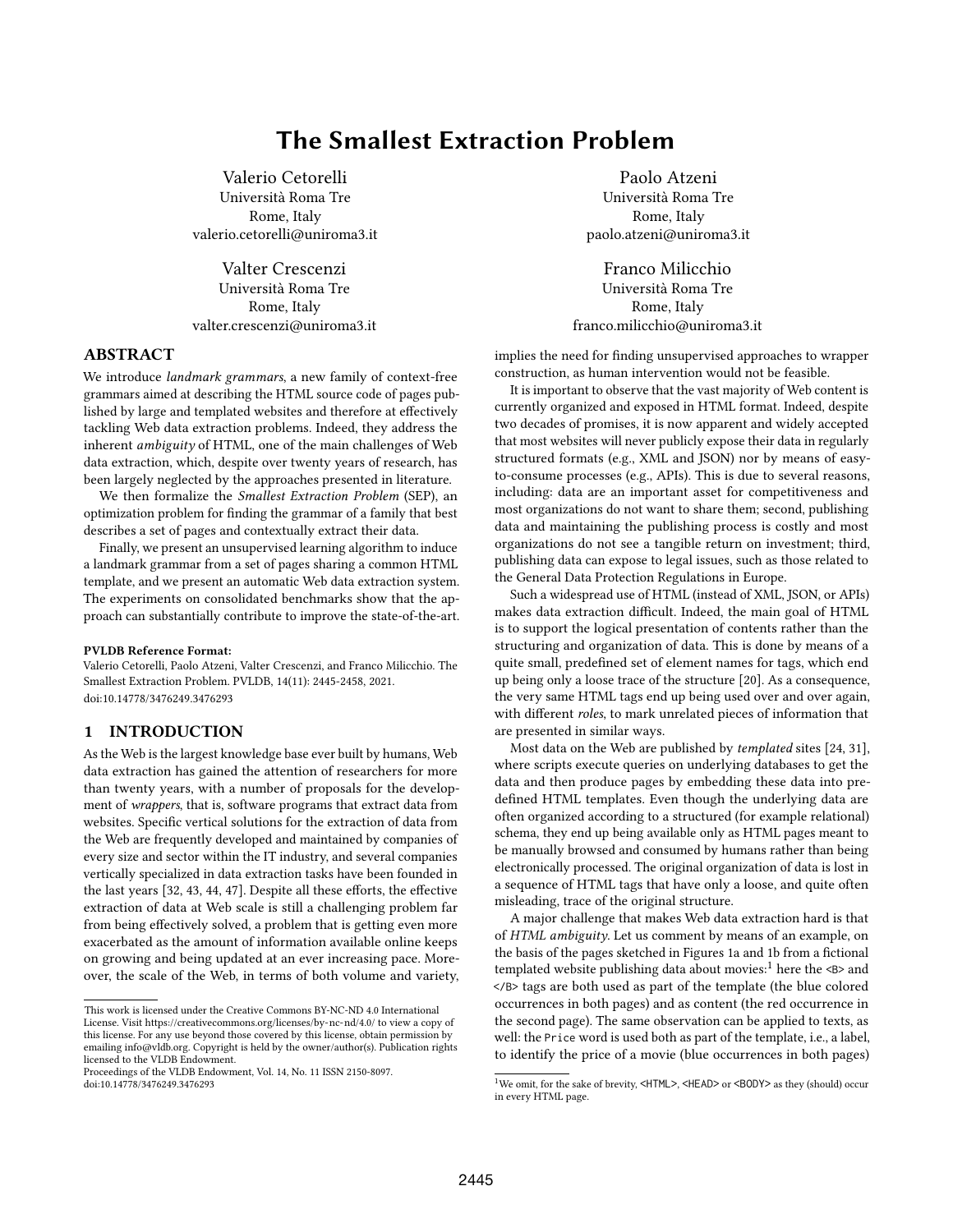# The Smallest Extraction Problem

Valerio Cetorelli Università Roma Tre Rome, Italy valerio.cetorelli@uniroma3.it

Valter Crescenzi Università Roma Tre Rome, Italy valter.crescenzi@uniroma3.it

# ABSTRACT

We introduce landmark grammars, a new family of context-free grammars aimed at describing the HTML source code of pages published by large and templated websites and therefore at effectively tackling Web data extraction problems. Indeed, they address the inherent ambiguity of HTML, one of the main challenges of Web data extraction, which, despite over twenty years of research, has been largely neglected by the approaches presented in literature.

We then formalize the Smallest Extraction Problem (SEP), an optimization problem for finding the grammar of a family that best describes a set of pages and contextually extract their data.

Finally, we present an unsupervised learning algorithm to induce a landmark grammar from a set of pages sharing a common HTML template, and we present an automatic Web data extraction system. The experiments on consolidated benchmarks show that the approach can substantially contribute to improve the state-of-the-art.

#### PVLDB Reference Format:

Valerio Cetorelli, Paolo Atzeni, Valter Crescenzi, and Franco Milicchio. The Smallest Extraction Problem. PVLDB, 14(11): 2445-2458, 2021. [doi:10.14778/3476249.3476293](https://doi.org/10.14778/3476249.3476293)

# 1 INTRODUCTION

As the Web is the largest knowledge base ever built by humans, Web data extraction has gained the attention of researchers for more than twenty years, with a number of proposals for the development of wrappers, that is, software programs that extract data from websites. Specific vertical solutions for the extraction of data from the Web are frequently developed and maintained by companies of every size and sector within the IT industry, and several companies vertically specialized in data extraction tasks have been founded in the last years [32, 43, 44, 47]. Despite all these efforts, the effective extraction of data at Web scale is still a challenging problem far from being effectively solved, a problem that is getting even more exacerbated as the amount of information available online keeps on growing and being updated at an ever increasing pace. Moreover, the scale of the Web, in terms of both volume and variety,

Paolo Atzeni Università Roma Tre Rome, Italy paolo.atzeni@uniroma3.it

Franco Milicchio Università Roma Tre Rome, Italy franco.milicchio@uniroma3.it

implies the need for finding unsupervised approaches to wrapper construction, as human intervention would not be feasible.

It is important to observe that the vast majority of Web content is currently organized and exposed in HTML format. Indeed, despite two decades of promises, it is now apparent and widely accepted that most websites will never publicly expose their data in regularly structured formats (e.g., XML and JSON) nor by means of easyto-consume processes (e.g., APIs). This is due to several reasons, including: data are an important asset for competitiveness and most organizations do not want to share them; second, publishing data and maintaining the publishing process is costly and most organizations do not see a tangible return on investment; third, publishing data can expose to legal issues, such as those related to the General Data Protection Regulations in Europe.

Such a widespread use of HTML (instead of XML, JSON, or APIs) makes data extraction difficult. Indeed, the main goal of HTML is to support the logical presentation of contents rather than the structuring and organization of data. This is done by means of a quite small, predefined set of element names for tags, which end up being only a loose trace of the structure [20]. As a consequence, the very same HTML tags end up being used over and over again, with different roles, to mark unrelated pieces of information that are presented in similar ways.

Most data on the Web are published by templated sites [24, 31], where scripts execute queries on underlying databases to get the data and then produce pages by embedding these data into predefined HTML templates. Even though the underlying data are often organized according to a structured (for example relational) schema, they end up being available only as HTML pages meant to be manually browsed and consumed by humans rather than being electronically processed. The original organization of data is lost in a sequence of HTML tags that have only a loose, and quite often misleading, trace of the original structure.

A major challenge that makes Web data extraction hard is that of HTML ambiguity. Let us comment by means of an example, on the basis of the pages sketched in Figures 1a and 1b from a fictional templated website publishing data about movies:<sup>1</sup> here the  $\leq B$  and </B> tags are both used as part of the template (the blue colored occurrences in both pages) and as content (the red occurrence in the second page). The same observation can be applied to texts, as well: the Price word is used both as part of the template, i.e., a label, to identify the price of a movie (blue occurrences in both pages)

This work is licensed under the Creative Commons BY-NC-ND 4.0 International License. Visit<https://creativecommons.org/licenses/by-nc-nd/4.0/> to view a copy of this license. For any use beyond those covered by this license, obtain permission by emailing [info@vldb.org.](mailto:info@vldb.org) Copyright is held by the owner/author(s). Publication rights licensed to the VLDB Endowment.

Proceedings of the VLDB Endowment, Vol. 14, No. 11 ISSN 2150-8097. [doi:10.14778/3476249.3476293](https://doi.org/10.14778/3476249.3476293)

<sup>&</sup>lt;sup>1</sup>We omit, for the sake of brevity, <HTML>, <HEAD> or <BODY> as they (should) occur in every HTML page.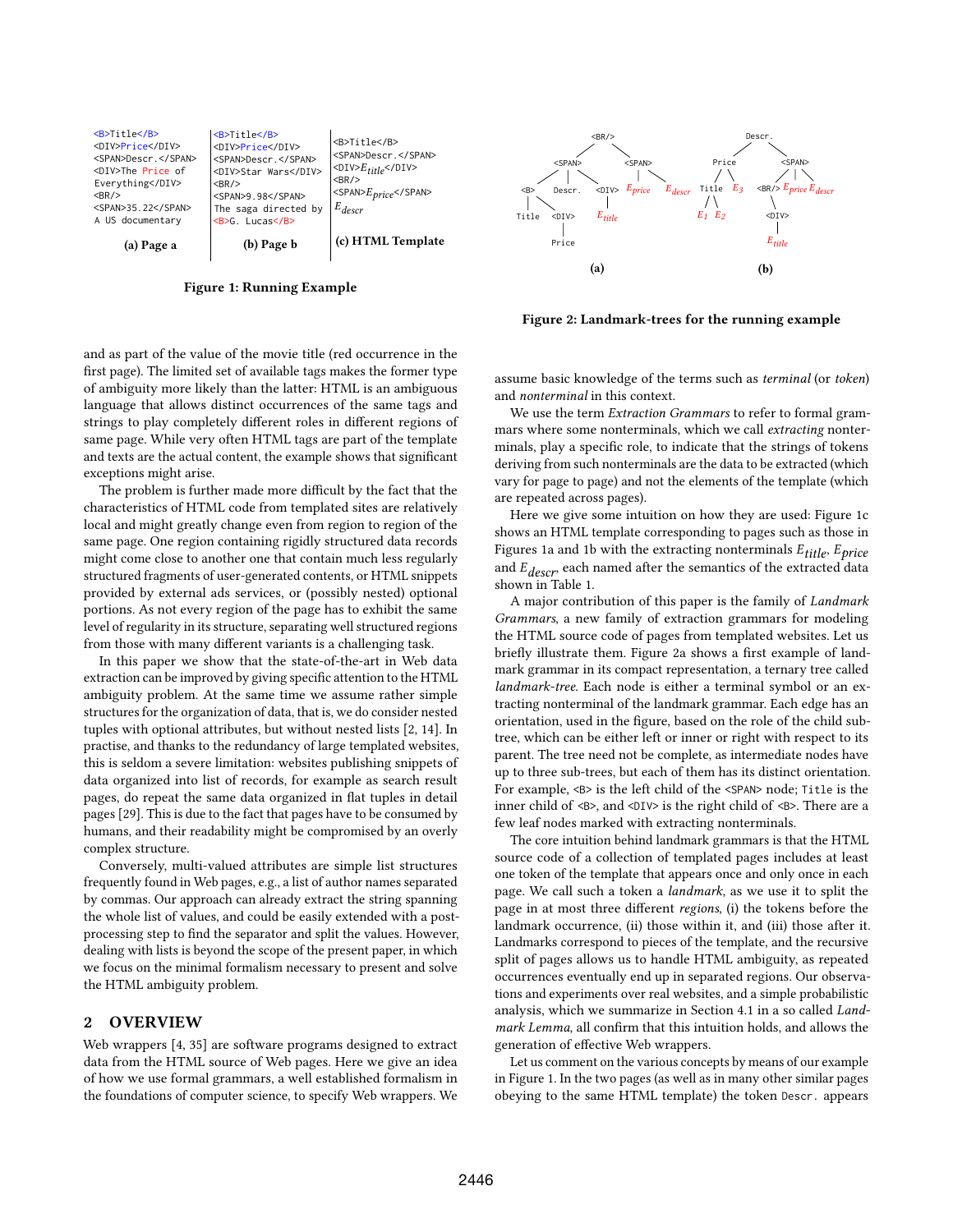

Figure 1: Running Example



Figure 2: Landmark-trees for the running example

and as part of the value of the movie title (red occurrence in the first page). The limited set of available tags makes the former type of ambiguity more likely than the latter: HTML is an ambiguous language that allows distinct occurrences of the same tags and strings to play completely different roles in different regions of same page. While very often HTML tags are part of the template and texts are the actual content, the example shows that significant exceptions might arise.

The problem is further made more difficult by the fact that the characteristics of HTML code from templated sites are relatively local and might greatly change even from region to region of the same page. One region containing rigidly structured data records might come close to another one that contain much less regularly structured fragments of user-generated contents, or HTML snippets provided by external ads services, or (possibly nested) optional portions. As not every region of the page has to exhibit the same level of regularity in its structure, separating well structured regions from those with many different variants is a challenging task.

In this paper we show that the state-of-the-art in Web data extraction can be improved by giving specific attention to the HTML ambiguity problem. At the same time we assume rather simple structures for the organization of data, that is, we do consider nested tuples with optional attributes, but without nested lists [2, 14]. In practise, and thanks to the redundancy of large templated websites, this is seldom a severe limitation: websites publishing snippets of data organized into list of records, for example as search result pages, do repeat the same data organized in flat tuples in detail pages [29]. This is due to the fact that pages have to be consumed by humans, and their readability might be compromised by an overly complex structure.

Conversely, multi-valued attributes are simple list structures frequently found in Web pages, e.g., a list of author names separated by commas. Our approach can already extract the string spanning the whole list of values, and could be easily extended with a postprocessing step to find the separator and split the values. However, dealing with lists is beyond the scope of the present paper, in which we focus on the minimal formalism necessary to present and solve the HTML ambiguity problem.

## 2 OVERVIEW

Web wrappers [4, 35] are software programs designed to extract data from the HTML source of Web pages. Here we give an idea of how we use formal grammars, a well established formalism in the foundations of computer science, to specify Web wrappers. We assume basic knowledge of the terms such as terminal (or token) and nonterminal in this context.

We use the term Extraction Grammars to refer to formal grammars where some nonterminals, which we call extracting nonterminals, play a specific role, to indicate that the strings of tokens deriving from such nonterminals are the data to be extracted (which vary for page to page) and not the elements of the template (which are repeated across pages).

Here we give some intuition on how they are used: Figure 1c shows an HTML template corresponding to pages such as those in Figures 1a and 1b with the extracting nonterminals  $E_{\text{title}}$ ,  $E_{\text{price}}$ and  $E_{descr}$  each named after the semantics of the extracted data shown in Table 1.

A major contribution of this paper is the family of Landmark Grammars, a new family of extraction grammars for modeling the HTML source code of pages from templated websites. Let us briefly illustrate them. Figure 2a shows a first example of landmark grammar in its compact representation, a ternary tree called landmark-tree. Each node is either a terminal symbol or an extracting nonterminal of the landmark grammar. Each edge has an orientation, used in the figure, based on the role of the child subtree, which can be either left or inner or right with respect to its parent. The tree need not be complete, as intermediate nodes have up to three sub-trees, but each of them has its distinct orientation. For example, <B> is the left child of the <SPAN> node; Title is the inner child of <B>, and <DIV> is the right child of <B>. There are a few leaf nodes marked with extracting nonterminals.

The core intuition behind landmark grammars is that the HTML source code of a collection of templated pages includes at least one token of the template that appears once and only once in each page. We call such a token a landmark, as we use it to split the page in at most three different regions, (i) the tokens before the landmark occurrence, (ii) those within it, and (iii) those after it. Landmarks correspond to pieces of the template, and the recursive split of pages allows us to handle HTML ambiguity, as repeated occurrences eventually end up in separated regions. Our observations and experiments over real websites, and a simple probabilistic analysis, which we summarize in Section 4.1 in a so called Landmark Lemma, all confirm that this intuition holds, and allows the generation of effective Web wrappers.

Let us comment on the various concepts by means of our example in Figure 1. In the two pages (as well as in many other similar pages obeying to the same HTML template) the token Descr. appears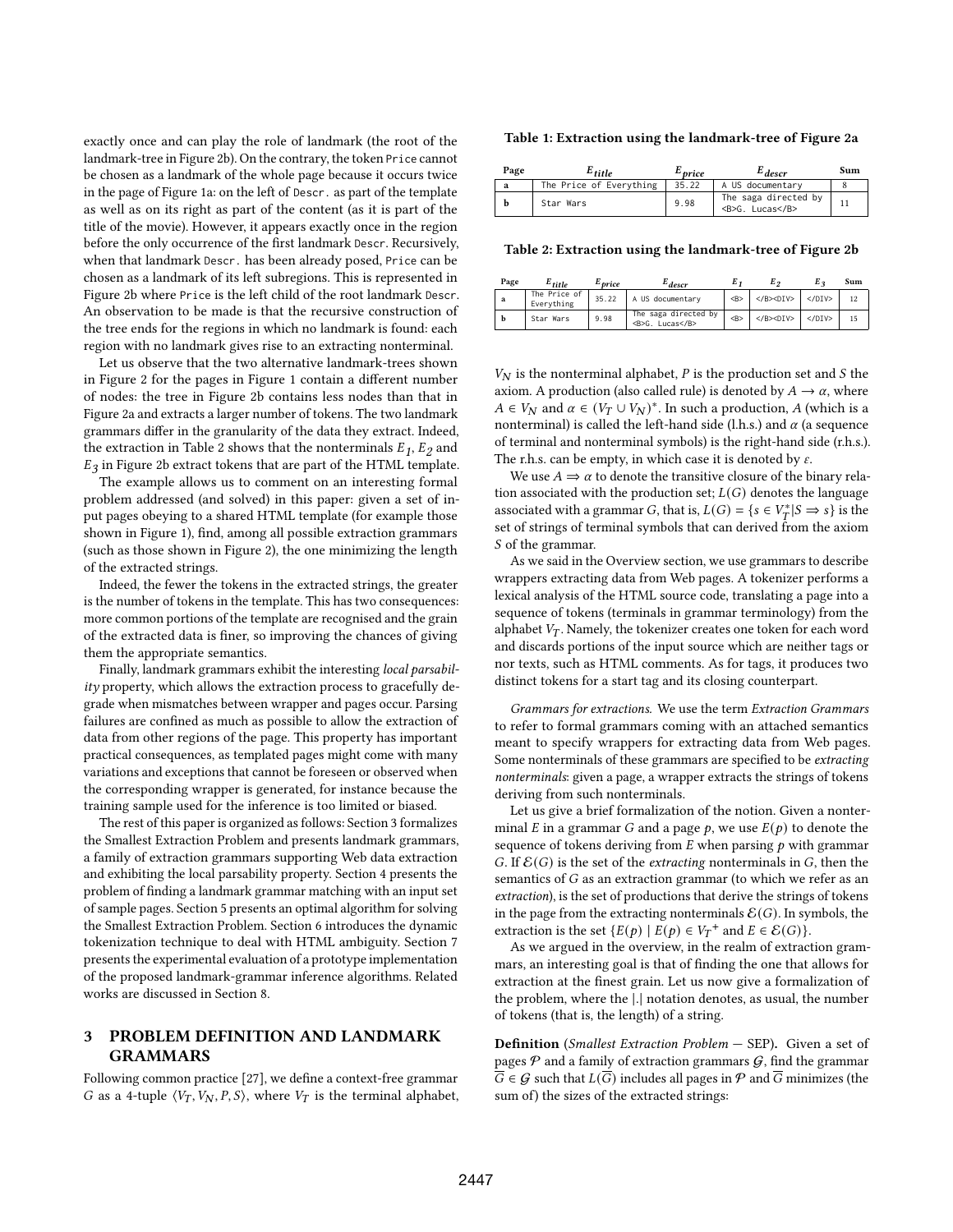exactly once and can play the role of landmark (the root of the landmark-tree in Figure 2b). On the contrary, the token Price cannot be chosen as a landmark of the whole page because it occurs twice in the page of Figure 1a: on the left of Descr. as part of the template as well as on its right as part of the content (as it is part of the title of the movie). However, it appears exactly once in the region before the only occurrence of the first landmark Descr. Recursively, when that landmark Descr. has been already posed, Price can be chosen as a landmark of its left subregions. This is represented in Figure 2b where Price is the left child of the root landmark Descr. An observation to be made is that the recursive construction of the tree ends for the regions in which no landmark is found: each region with no landmark gives rise to an extracting nonterminal.

Let us observe that the two alternative landmark-trees shown in Figure 2 for the pages in Figure 1 contain a different number of nodes: the tree in Figure 2b contains less nodes than that in Figure 2a and extracts a larger number of tokens. The two landmark grammars differ in the granularity of the data they extract. Indeed, the extraction in Table 2 shows that the nonterminals  $\mathcal{E}_1, \mathcal{E}_2$  and  $E_3$  in Figure 2b extract tokens that are part of the HTML template.

The example allows us to comment on an interesting formal problem addressed (and solved) in this paper: given a set of input pages obeying to a shared HTML template (for example those shown in Figure 1), find, among all possible extraction grammars (such as those shown in Figure 2), the one minimizing the length of the extracted strings.

Indeed, the fewer the tokens in the extracted strings, the greater is the number of tokens in the template. This has two consequences: more common portions of the template are recognised and the grain of the extracted data is finer, so improving the chances of giving them the appropriate semantics.

Finally, landmark grammars exhibit the interesting local parsability property, which allows the extraction process to gracefully degrade when mismatches between wrapper and pages occur. Parsing failures are confined as much as possible to allow the extraction of data from other regions of the page. This property has important practical consequences, as templated pages might come with many variations and exceptions that cannot be foreseen or observed when the corresponding wrapper is generated, for instance because the training sample used for the inference is too limited or biased.

The rest of this paper is organized as follows: Section 3 formalizes the Smallest Extraction Problem and presents landmark grammars, a family of extraction grammars supporting Web data extraction and exhibiting the local parsability property. Section 4 presents the problem of finding a landmark grammar matching with an input set of sample pages. Section 5 presents an optimal algorithm for solving the Smallest Extraction Problem. Section 6 introduces the dynamic tokenization technique to deal with HTML ambiguity. Section 7 presents the experimental evaluation of a prototype implementation of the proposed landmark-grammar inference algorithms. Related works are discussed in Section 8.

# 3 PROBLEM DEFINITION AND LANDMARK GRAMMARS

Following common practice [27], we define a context-free grammar G as a 4-tuple  $\langle V_T, V_N, P, S \rangle$ , where  $V_T$  is the terminal alphabet,

#### Table 1: Extraction using the landmark-tree of Figure 2a

| Page | $E_{\it title}$         | <sup>L</sup> price | $E_{descr}$                             | Sum |
|------|-------------------------|--------------------|-----------------------------------------|-----|
| a    | The Price of Everything | 35.22              | A US documentary                        |     |
| h    | Star Wars               | 9.98               | The saga directed by<br><b>G. Lucas</b> |     |

Table 2: Extraction using the landmark-tree of Figure 2b

| Page | $E_{title}$                | <sup>L</sup> price | <sup>L</sup> descr                      |        | E,               | E 2          | Sum |
|------|----------------------------|--------------------|-----------------------------------------|--------|------------------|--------------|-----|
| a    | The Price of<br>Everything | 35.22              | A US documentary                        | $<$ B> | $<$ /B> $<$ DIV> | $<$ /DIV $>$ | 12  |
|      | Star Wars                  | 9.98               | The saga directed by<br><b>G. Lucas</b> | $<$ B> | $<$ /B> $<$ DIV> | $<$ /DIV $>$ |     |

 $V_N$  is the nonterminal alphabet,  $P$  is the production set and  $S$  the axiom. A production (also called rule) is denoted by  $A \rightarrow \alpha$ , where  $A \in V_N$  and  $\alpha \in (V_T \cup V_N)^*$ . In such a production, A (which is a nonterminal) is called the left-hand side (l.h.s.) and  $\alpha$  (a sequence of terminal and nonterminal symbols) is the right-hand side (r.h.s.). The r.h.s. can be empty, in which case it is denoted by  $\varepsilon$ .

We use  $A \Rightarrow \alpha$  to denote the transitive closure of the binary relation associated with the production set;  $L(G)$  denotes the language associated with a grammar G, that is,  $L(G) = \{ s \in V^*_T | S \implies s \}$  is the set of strings of terminal symbols that can derived from the axiom S of the grammar.

As we said in the Overview section, we use grammars to describe wrappers extracting data from Web pages. A tokenizer performs a lexical analysis of the HTML source code, translating a page into a sequence of tokens (terminals in grammar terminology) from the alphabet  $V_T$ . Namely, the tokenizer creates one token for each word and discards portions of the input source which are neither tags or nor texts, such as HTML comments. As for tags, it produces two distinct tokens for a start tag and its closing counterpart.

Grammars for extractions. We use the term Extraction Grammars to refer to formal grammars coming with an attached semantics meant to specify wrappers for extracting data from Web pages. Some nonterminals of these grammars are specified to be extracting nonterminals: given a page, a wrapper extracts the strings of tokens deriving from such nonterminals.

Let us give a brief formalization of the notion. Given a nonterminal E in a grammar G and a page  $p$ , we use  $E(p)$  to denote the sequence of tokens deriving from  $E$  when parsing  $p$  with grammar G. If  $\mathcal{E}(G)$  is the set of the *extracting* nonterminals in G, then the semantics of  $G$  as an extraction grammar (to which we refer as an extraction), is the set of productions that derive the strings of tokens in the page from the extracting nonterminals  $\mathcal{E}(G)$ . In symbols, the extraction is the set  $\{E(p) | E(p) \in V_T^+\}$  and  $E \in \mathcal{E}(G)$ .

As we argued in the overview, in the realm of extraction grammars, an interesting goal is that of finding the one that allows for extraction at the finest grain. Let us now give a formalization of the problem, where the |.| notation denotes, as usual, the number of tokens (that is, the length) of a string.

Definition (Smallest Extraction Problem — SEP). Given a set of pages  $P$  and a family of extraction grammars  $G$ , find the grammar  $\overline{G} \in \mathcal{G}$  such that  $L(\overline{G})$  includes all pages in  $\mathcal{P}$  and  $\overline{G}$  minimizes (the sum of) the sizes of the extracted strings: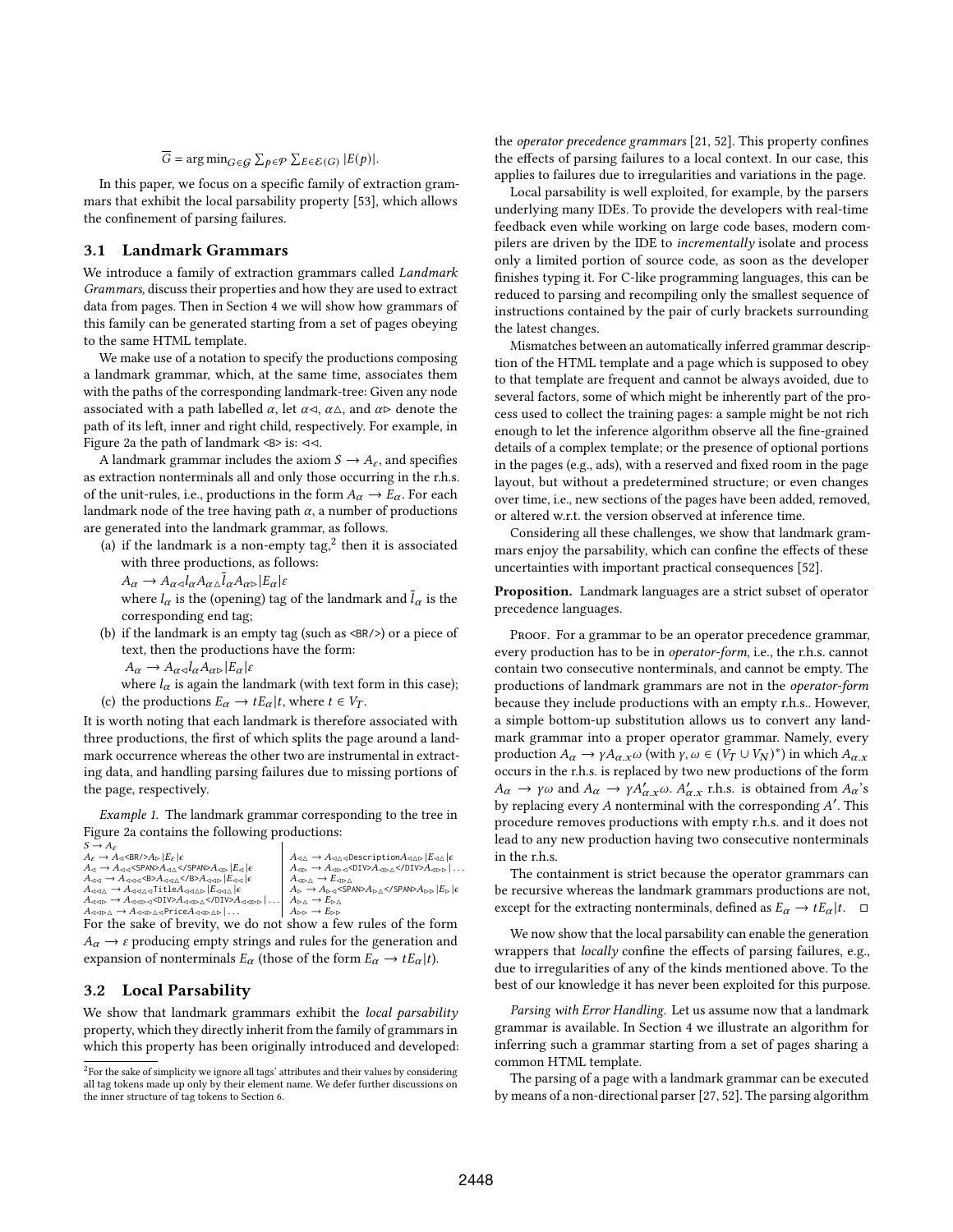# $\overline{G} = \arg \min_{G \in \mathcal{G}} \sum_{p \in \mathcal{P}} \sum_{E \in \mathcal{E}(G)} |E(p)|.$

In this paper, we focus on a specific family of extraction grammars that exhibit the local parsability property [53], which allows the confinement of parsing failures.

## 3.1 Landmark Grammars

We introduce a family of extraction grammars called Landmark Grammars, discuss their properties and how they are used to extract data from pages. Then in Section 4 we will show how grammars of this family can be generated starting from a set of pages obeying to the same HTML template.

We make use of a notation to specify the productions composing a landmark grammar, which, at the same time, associates them with the paths of the corresponding landmark-tree: Given any node associated with a path labelled  $\alpha$ , let  $\alpha \triangleleft$ ,  $\alpha \triangleleft$ , and  $\alpha \triangleright$  denote the path of its left, inner and right child, respectively. For example, in Figure 2a the path of landmark  $\langle B \rangle$  is:  $\triangleleft \triangleleft$ .

A landmark grammar includes the axiom  $S \to A_{\varepsilon}$ , and specifies as extraction nonterminals all and only those occurring in the r.h.s. of the unit-rules, i.e., productions in the form  $A_{\alpha} \rightarrow E_{\alpha}$ . For each landmark node of the tree having path  $\alpha$ , a number of productions are generated into the landmark grammar, as follows.

(a) if the landmark is a non-empty tag, $2$  then it is associated with three productions, as follows:

 $A_{\alpha} \to A_{\alpha \triangleleft} l_{\alpha} A_{\alpha \triangle} \bar{l}_{\alpha} A_{\alpha \triangleright} |E_{\alpha}| \varepsilon$ 

where  $l_{\alpha}$  is the (opening) tag of the landmark and  $\bar{l}_{\alpha}$  is the corresponding end tag;

(b) if the landmark is an empty tag (such as  $\langle BR/ \rangle$ ) or a piece of text, then the productions have the form:

 $A_{\alpha} \rightarrow A_{\alpha \triangleleft} l_{\alpha} A_{\alpha \triangleright} | E_{\alpha} | \varepsilon$ 

where  $l_{\alpha}$  is again the landmark (with text form in this case); (c) the productions  $E_{\alpha} \to tE_{\alpha}|t$ , where  $t \in V_T$ .

It is worth noting that each landmark is therefore associated with three productions, the first of which splits the page around a landmark occurrence whereas the other two are instrumental in extracting data, and handling parsing failures due to missing portions of the page, respectively.

Example 1. The landmark grammar corresponding to the tree in Figure 2a contains the following productions:

| $S \to A_{\varepsilon}$                                                                                                                                                                                                                                                                                                                                                  |                                                                                                                                                                                                                 |
|--------------------------------------------------------------------------------------------------------------------------------------------------------------------------------------------------------------------------------------------------------------------------------------------------------------------------------------------------------------------------|-----------------------------------------------------------------------------------------------------------------------------------------------------------------------------------------------------------------|
| $A_{\varepsilon} \to A_{\triangleleft}$<br>$\triangleright A_{\triangleright}$ $ E_{\varepsilon}  \epsilon$                                                                                                                                                                                                                                                              | $A_{\triangleleft\triangle} \to A_{\triangleleft\triangleleft\triangleleft}$ Description $A_{\triangleleft\triangle\triangleright}$ $ E_{\triangleleft\triangle}  \epsilon$                                     |
| $A_{\lhd} \to A_{\lhd \lhd}$ <span><math>A_{\lhd \Delta}</math></span> $A_{\lhd \rhd}$ $ E_{\lhd}  \epsilon$                                                                                                                                                                                                                                                             | $A_{\triangleleft\triangleright} \rightarrow A_{\triangleleft\triangleright\triangleleft}$ <div><math>A_{\triangleleft\triangleright\triangleleft}</math></div> $A_{\triangleleft\triangleright\triangleright}$ |
| $A_{\triangleleft\triangleleft} \rightarrow A_{\triangleleft\triangleleft\triangleleft} \triangleleft B \triangleright A_{\triangleleft\triangleleft\triangle} \triangle B \triangleright A_{\triangleleft\triangleleft\triangleright}   E_{\triangleleft\triangleleft}\rangle   \epsilon \right\rangle$                                                                 | $A_{\langle \varphi \rangle \Delta} \to E_{\langle \varphi \rangle \Delta}$                                                                                                                                     |
| $A_{\triangleleft\triangleleft\triangleleft} \rightarrow A_{\triangleleft\triangleleft\triangleleft}$ Title $A_{\triangleleft\triangleleft\triangleleft\triangleright}$ $ E_{\triangleleft\triangleleft\triangle}\rangle  \epsilon$                                                                                                                                      | $A_{\triangleright} \rightarrow A_{\triangleright\triangleleft}$ <span><math>A_{\triangleright\triangle}</math> </span> $A_{\triangleright\triangleright}$ $ E_{\triangleright}  \epsilon$                      |
| $A_{\triangleleft\triangleleft\triangleright}\rightarrow A_{\triangleleft\triangleleft\triangleright}\triangleleft\triangleleft\triangleright\triangle\triangleleft\triangle\triangleleft\triangleright\triangle\triangleleft\triangleright\triangle\triangleleft\triangleright\triangleright\triangle\triangleleft\triangleright\triangleright\parallel\ldots\parallel$ | $A_{\triangleright\triangle}\rightarrow E_{\triangleright\triangle}$                                                                                                                                            |
| $A_{\triangleleft \triangleleft \triangleright \triangle} \rightarrow A_{\triangleleft \triangleleft \triangleright \triangleleft}$ Price $A_{\triangleleft \triangleleft \triangleright \triangleleft \triangleright}$                                                                                                                                                  | $A_{\triangleright\triangleright} \rightarrow E_{\triangleright\triangleright}$                                                                                                                                 |
| $\mathbf{r}$ $\mathbf{r}$<br>$\sim$ $\sim$ $\sim$ $\sim$                                                                                                                                                                                                                                                                                                                 |                                                                                                                                                                                                                 |

For the sake of brevity, we do not show a few rules of the form  $A_\alpha \rightarrow \varepsilon$  producing empty strings and rules for the generation and expansion of nonterminals  $E_{\alpha}$  (those of the form  $E_{\alpha} \to tE_{\alpha}|t$ ).

# 3.2 Local Parsability

We show that landmark grammars exhibit the *local parsability* property, which they directly inherit from the family of grammars in which this property has been originally introduced and developed: the operator precedence grammars [21, 52]. This property confines the effects of parsing failures to a local context. In our case, this applies to failures due to irregularities and variations in the page.

Local parsability is well exploited, for example, by the parsers underlying many IDEs. To provide the developers with real-time feedback even while working on large code bases, modern compilers are driven by the IDE to incrementally isolate and process only a limited portion of source code, as soon as the developer finishes typing it. For C-like programming languages, this can be reduced to parsing and recompiling only the smallest sequence of instructions contained by the pair of curly brackets surrounding the latest changes.

Mismatches between an automatically inferred grammar description of the HTML template and a page which is supposed to obey to that template are frequent and cannot be always avoided, due to several factors, some of which might be inherently part of the process used to collect the training pages: a sample might be not rich enough to let the inference algorithm observe all the fine-grained details of a complex template; or the presence of optional portions in the pages (e.g., ads), with a reserved and fixed room in the page layout, but without a predetermined structure; or even changes over time, i.e., new sections of the pages have been added, removed, or altered w.r.t. the version observed at inference time.

Considering all these challenges, we show that landmark grammars enjoy the parsability, which can confine the effects of these uncertainties with important practical consequences [52].

Proposition. Landmark languages are a strict subset of operator precedence languages.

PROOF. For a grammar to be an operator precedence grammar, every production has to be in operator-form, i.e., the r.h.s. cannot contain two consecutive nonterminals, and cannot be empty. The productions of landmark grammars are not in the operator-form because they include productions with an empty r.h.s.. However, a simple bottom-up substitution allows us to convert any landmark grammar into a proper operator grammar. Namely, every production  $A_{\alpha} \to \gamma A_{\alpha, x} \omega$  (with  $\gamma, \omega \in (V_T \cup V_N)^*$ ) in which  $A_{\alpha, x}$ occurs in the r.h.s. is replaced by two new productions of the form  $A_{\alpha} \to \gamma \omega$  and  $A_{\alpha} \to \gamma A'_{\alpha,x} \omega$ .  $A'_{\alpha,x}$  r.h.s. is obtained from  $A_{\alpha}$ 's by replacing every  $A$  nonterminal with the corresponding  $A'$ . This procedure removes productions with empty r.h.s. and it does not lead to any new production having two consecutive nonterminals in the r.h.s.

The containment is strict because the operator grammars can be recursive whereas the landmark grammars productions are not, except for the extracting nonterminals, defined as  $E_{\alpha} \rightarrow tE_{\alpha} | t$ .  $\Box$ 

We now show that the local parsability can enable the generation wrappers that locally confine the effects of parsing failures, e.g., due to irregularities of any of the kinds mentioned above. To the best of our knowledge it has never been exploited for this purpose.

Parsing with Error Handling. Let us assume now that a landmark grammar is available. In Section 4 we illustrate an algorithm for inferring such a grammar starting from a set of pages sharing a common HTML template.

The parsing of a page with a landmark grammar can be executed by means of a non-directional parser [27, 52]. The parsing algorithm

 ${}^{2}$ For the sake of simplicity we ignore all tags' attributes and their values by considering all tag tokens made up only by their element name. We defer further discussions on the inner structure of tag tokens to Section 6.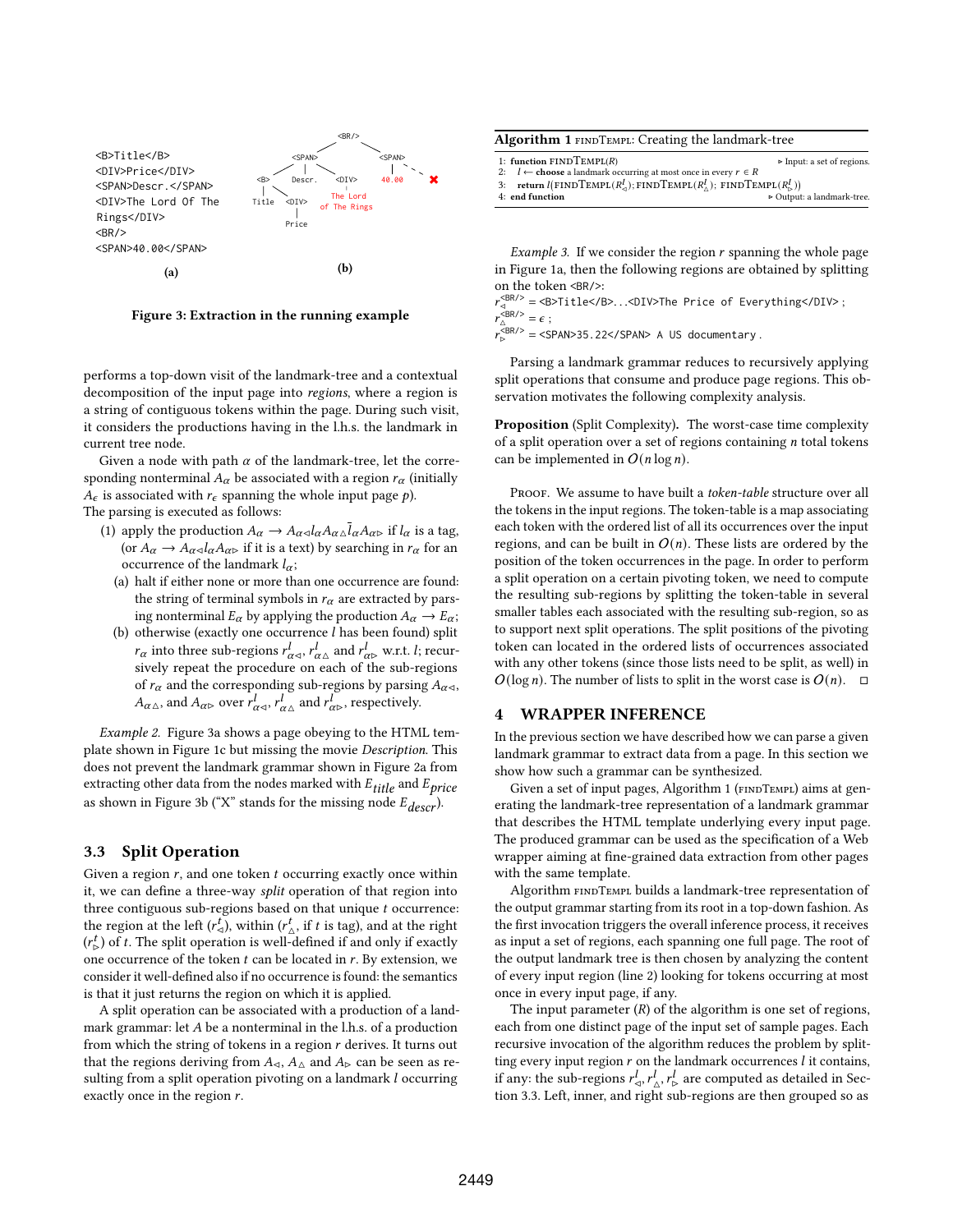

Figure 3: Extraction in the running example

performs a top-down visit of the landmark-tree and a contextual decomposition of the input page into regions, where a region is a string of contiguous tokens within the page. During such visit, it considers the productions having in the l.h.s. the landmark in current tree node.

Given a node with path  $\alpha$  of the landmark-tree, let the corresponding nonterminal  $A_{\alpha}$  be associated with a region  $r_{\alpha}$  (initially  $A_{\epsilon}$  is associated with  $r_{\epsilon}$  spanning the whole input page p). The parsing is executed as follows:

- (1) apply the production  $A_{\alpha} \to A_{\alpha \alpha} l_{\alpha} A_{\alpha \beta} \bar{l}_{\alpha} A_{\alpha \beta}$  if  $l_{\alpha}$  is a tag, (or  $A_{\alpha} \to A_{\alpha \lhd} l_{\alpha} A_{\alpha \rhd}$  if it is a text) by searching in  $r_{\alpha}$  for an occurrence of the landmark  $l_{\alpha}$ ;
	- (a) halt if either none or more than one occurrence are found: the string of terminal symbols in  $r_{\alpha}$  are extracted by parsing nonterminal  $E_{\alpha}$  by applying the production  $A_{\alpha} \rightarrow E_{\alpha}$ ;
	- (b) otherwise (exactly one occurrence  $l$  has been found) split  $r_{\alpha}$  into three sub-regions  $r_{\alpha\alpha}^l$ ,  $r_{\alpha\Delta}^l$  and  $r_{\alpha\nu}^l$  w.r.t. l; recursively repeat the procedure on each of the sub-regions of  $r_{\alpha}$  and the corresponding sub-regions by parsing  $A_{\alpha \triangleleft}$ ,  $A_{\alpha}$ , and  $A_{\alpha}$  over  $r^l_{\alpha}$ ,  $r^l_{\alpha}$  and  $r^l_{\alpha}$ , respectively.

Example 2. Figure 3a shows a page obeying to the HTML template shown in Figure 1c but missing the movie Description. This does not prevent the landmark grammar shown in Figure 2a from extracting other data from the nodes marked with  $E_{title}$  and  $E_{price}$ as shown in Figure 3b ("X" stands for the missing node  $E_{decr}$ ).

### 3.3 Split Operation

Given a region  $r$ , and one token  $t$  occurring exactly once within it, we can define a three-way split operation of that region into three contiguous sub-regions based on that unique  $t$  occurrence: the region at the left  $(r^t_{\triangle})$ , within  $(r^t_{\triangle})$ , if t is tag), and at the right  $(r_{\rm p}^t)$  of t. The split operation is well-defined if and only if exactly one occurrence of the token  $t$  can be located in  $r$ . By extension, we consider it well-defined also if no occurrence is found: the semantics is that it just returns the region on which it is applied.

A split operation can be associated with a production of a landmark grammar: let  $A$  be a nonterminal in the l.h.s. of a production from which the string of tokens in a region  $r$  derives. It turns out that the regions deriving from  $A_{\leq}$ ,  $A_{\triangle}$  and  $A_{\triangleright}$  can be seen as resulting from a split operation pivoting on a landmark  $l$  occurring exactly once in the region  $r$ .

| <b>Algorithm 1 FINDTEMPL: Creating the landmark-tree</b>                                                       |                                           |  |  |  |
|----------------------------------------------------------------------------------------------------------------|-------------------------------------------|--|--|--|
| 1: function $FINDTEMPL(R)$<br>2: <i>l</i> ← <b>choose</b> a landmark occurring at most once in every $r \in R$ | $\triangleright$ Input: a set of regions. |  |  |  |
| 3: return $l(\text{FINDTEMPL}(R_{\alpha}^l); \text{FINDTEMPL}(R_{\lambda}^l); \text{FINDTEMPL}(R_{\kappa}^l))$ |                                           |  |  |  |
| 4: end function                                                                                                | ⊳ Output: a landmark-tree.                |  |  |  |

*Example 3.* If we consider the region  $r$  spanning the whole page in Figure 1a, then the following regions are obtained by splitting on the token <BR/>:

 $r_{\rm d}^{\rm SB/>}$  = <B>Title</B>...<DIV>The Price of Everything</DIV>;  $r_{\triangle}^{\triangle$ BR/> =  $\epsilon$ ;

 $r_{\triangleright}^{\langle\text{BR}/\rangle}$  = <SPAN>35.22</SPAN> A US documentary.

Parsing a landmark grammar reduces to recursively applying split operations that consume and produce page regions. This observation motivates the following complexity analysis.

Proposition (Split Complexity). The worst-case time complexity of a split operation over a set of regions containing  $n$  total tokens can be implemented in  $O(n \log n)$ .

PROOF. We assume to have built a token-table structure over all the tokens in the input regions. The token-table is a map associating each token with the ordered list of all its occurrences over the input regions, and can be built in  $O(n)$ . These lists are ordered by the position of the token occurrences in the page. In order to perform a split operation on a certain pivoting token, we need to compute the resulting sub-regions by splitting the token-table in several smaller tables each associated with the resulting sub-region, so as to support next split operations. The split positions of the pivoting token can located in the ordered lists of occurrences associated with any other tokens (since those lists need to be split, as well) in  $O(\log n)$ . The number of lists to split in the worst case is  $O(n)$ .  $\Box$ 

## 4 WRAPPER INFERENCE

In the previous section we have described how we can parse a given landmark grammar to extract data from a page. In this section we show how such a grammar can be synthesized.

Given a set of input pages, Algorithm 1 (FINDTEMPL) aims at generating the landmark-tree representation of a landmark grammar that describes the HTML template underlying every input page. The produced grammar can be used as the specification of a Web wrapper aiming at fine-grained data extraction from other pages with the same template.

Algorithm FINDTEMPL builds a landmark-tree representation of the output grammar starting from its root in a top-down fashion. As the first invocation triggers the overall inference process, it receives as input a set of regions, each spanning one full page. The root of the output landmark tree is then chosen by analyzing the content of every input region (line 2) looking for tokens occurring at most once in every input page, if any.

The input parameter  $(R)$  of the algorithm is one set of regions, each from one distinct page of the input set of sample pages. Each recursive invocation of the algorithm reduces the problem by splitting every input region  $r$  on the landmark occurrences  $l$  it contains, if any: the sub-regions  $r^l_{\leq}$ ,  $r^l_{\leq}$ ,  $r^l_{\leq}$  are computed as detailed in Section 3.3. Left, inner, and right sub-regions are then grouped so as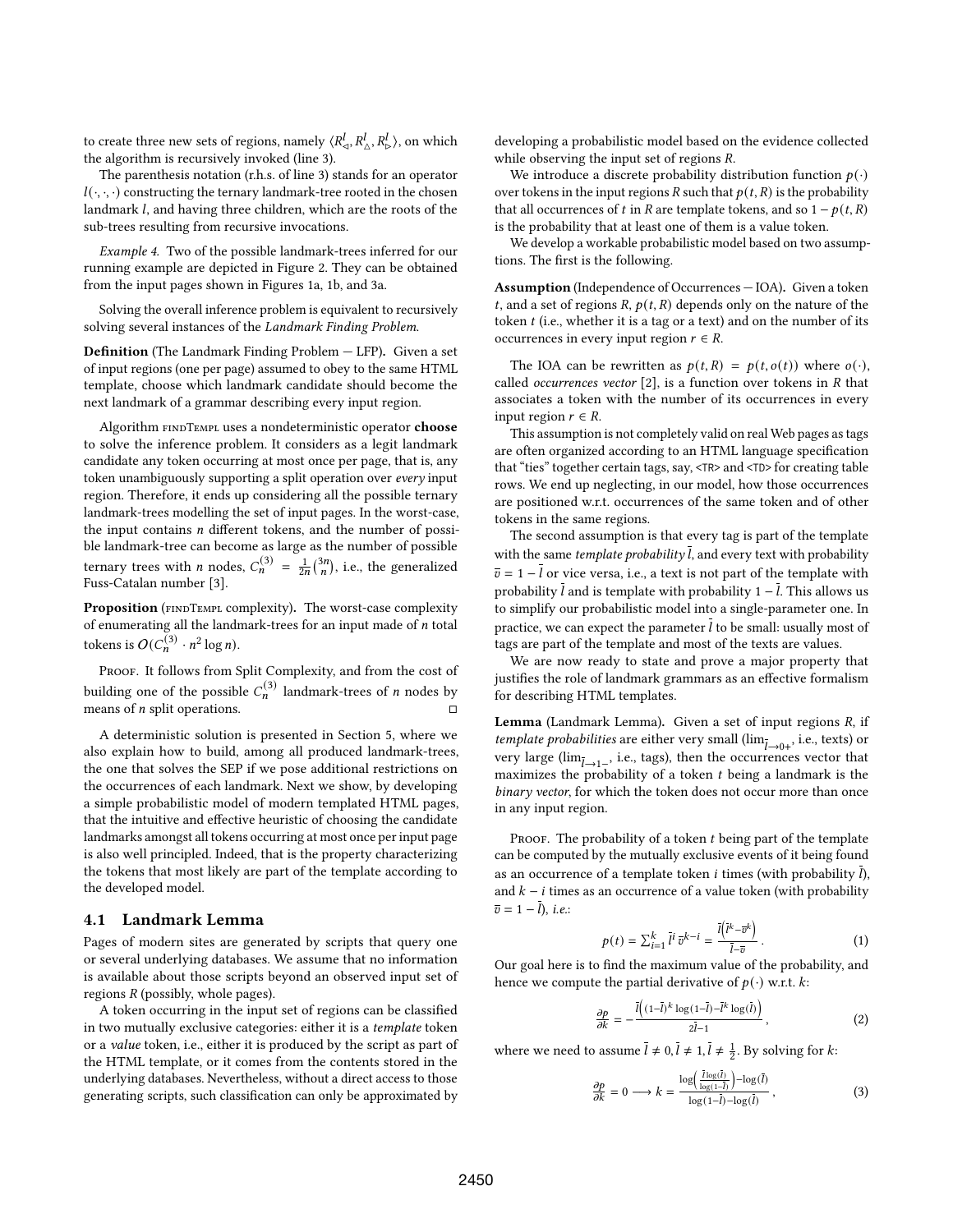to create three new sets of regions, namely  $\langle R_\lhd^l, R_\lhd^l, R_\rhd^l \rangle,$  on which the algorithm is recursively invoked (line 3).

The parenthesis notation (r.h.s. of line 3) stands for an operator  $l(\cdot, \cdot, \cdot)$  constructing the ternary landmark-tree rooted in the chosen landmark *l*, and having three children, which are the roots of the sub-trees resulting from recursive invocations.

Example 4. Two of the possible landmark-trees inferred for our running example are depicted in Figure 2. They can be obtained from the input pages shown in Figures 1a, 1b, and 3a.

Solving the overall inference problem is equivalent to recursively solving several instances of the Landmark Finding Problem.

Definition (The Landmark Finding Problem — LFP). Given a set of input regions (one per page) assumed to obey to the same HTML template, choose which landmark candidate should become the next landmark of a grammar describing every input region.

Algorithm FINDTEMPL uses a nondeterministic operator choose to solve the inference problem. It considers as a legit landmark candidate any token occurring at most once per page, that is, any token unambiguously supporting a split operation over every input region. Therefore, it ends up considering all the possible ternary landmark-trees modelling the set of input pages. In the worst-case, the input contains  $n$  different tokens, and the number of possible landmark-tree can become as large as the number of possible ternary trees with *n* nodes,  $C_n^{(3)} = \frac{1}{2n} {3n \choose n}$ , i.e., the generalized Fuss-Catalan number [3].

Proposition (FINDTEMPL complexity). The worst-case complexity of enumerating all the landmark-trees for an input made of  $n$  total tokens is  $O(C_n^{(3)} \cdot n^2 \log n)$ .

PROOF. It follows from Split Complexity, and from the cost of building one of the possible  $C_n^{(3)}$  landmark-trees of *n* nodes by means of  $n$  split operations.

A deterministic solution is presented in Section 5, where we also explain how to build, among all produced landmark-trees, the one that solves the SEP if we pose additional restrictions on the occurrences of each landmark. Next we show, by developing a simple probabilistic model of modern templated HTML pages, that the intuitive and effective heuristic of choosing the candidate landmarks amongst all tokens occurring at most once per input page is also well principled. Indeed, that is the property characterizing the tokens that most likely are part of the template according to the developed model.

#### 4.1 Landmark Lemma

Pages of modern sites are generated by scripts that query one or several underlying databases. We assume that no information is available about those scripts beyond an observed input set of regions  $R$  (possibly, whole pages).

A token occurring in the input set of regions can be classified in two mutually exclusive categories: either it is a template token or a value token, i.e., either it is produced by the script as part of the HTML template, or it comes from the contents stored in the underlying databases. Nevertheless, without a direct access to those generating scripts, such classification can only be approximated by developing a probabilistic model based on the evidence collected while observing the input set of regions *.* 

We introduce a discrete probability distribution function  $p(\cdot)$ over tokens in the input regions R such that  $p(t, R)$  is the probability that all occurrences of t in R are template tokens, and so  $1 - p(t, R)$ is the probability that at least one of them is a value token.

We develop a workable probabilistic model based on two assumptions. The first is the following.

Assumption (Independence of Occurrences — IOA). Given a token t, and a set of regions  $R$ ,  $p(t, R)$  depends only on the nature of the token $t$  (i.e., whether it is a tag or a text) and on the number of its occurrences in every input region  $r \in R$ .

The IOA can be rewritten as  $p(t, R) = p(t, o(t))$  where  $o(\cdot)$ , called *occurrences vector* [2], is a function over tokens in  $R$  that associates a token with the number of its occurrences in every input region  $r \in R$ .

This assumption is not completely valid on real Web pages as tags are often organized according to an HTML language specification that "ties" together certain tags, say, <TR> and <TD> for creating table rows. We end up neglecting, in our model, how those occurrences are positioned w.r.t. occurrences of the same token and of other tokens in the same regions.

The second assumption is that every tag is part of the template with the same *template probability*  $\overline{l}$ , and every text with probability  $\bar{v} = 1 - \bar{l}$  or vice versa, i.e., a text is not part of the template with probability  $\overline{l}$  and is template with probability 1 –  $\overline{l}$ . This allows us to simplify our probabilistic model into a single-parameter one. In practice, we can expect the parameter  $l$  to be small: usually most of tags are part of the template and most of the texts are values.

We are now ready to state and prove a major property that justifies the role of landmark grammars as an effective formalism for describing HTML templates.

Lemma (Landmark Lemma). Given a set of input regions  $R$ , if *template probabilities* are either very small  $(\lim_{\bar{l} \to 0+}$ , i.e., texts) or very large ( $\lim_{\bar{l} \to 1^-}$ , i.e., tags), then the occurrences vector that maximizes the probability of a token  $t$  being a landmark is the binary vector, for which the token does not occur more than once in any input region.

PROOF. The probability of a token  $t$  being part of the template can be computed by the mutually exclusive events of it being found as an occurrence of a template token  $i$  times (with probability  $l$ ), and  $k - i$  times as an occurrence of a value token (with probability  $\overline{v} = 1 - \overline{l}$ , *i.e.*:

$$
p(t) = \sum_{i=1}^{k} \bar{l}^{i} \, \bar{v}^{k-i} = \frac{\bar{l}(\bar{l}^{k} - \bar{v}^{k})}{\bar{l} - \bar{v}} \, . \tag{1}
$$

Our goal here is to find the maximum value of the probability, and hence we compute the partial derivative of  $p(\cdot)$  w.r.t. k:

$$
\frac{\partial p}{\partial k} = -\frac{\overline{l}\left((1-\overline{l})^k \log(1-\overline{l}) - \overline{l}^k \log(\overline{l})\right)}{2\overline{l} - 1},\tag{2}
$$

where we need to assume  $\overline{l} \neq 0, \overline{l} \neq 1, \overline{l} \neq \frac{1}{2}$ . By solving for  $k$ :

$$
\frac{\partial p}{\partial k} = 0 \longrightarrow k = \frac{\log\left(\frac{\bar{l}\log(\bar{l})}{\log(1-\bar{l})}\right) - \log(\bar{l})}{\log(1-\bar{l}) - \log(\bar{l})},\tag{3}
$$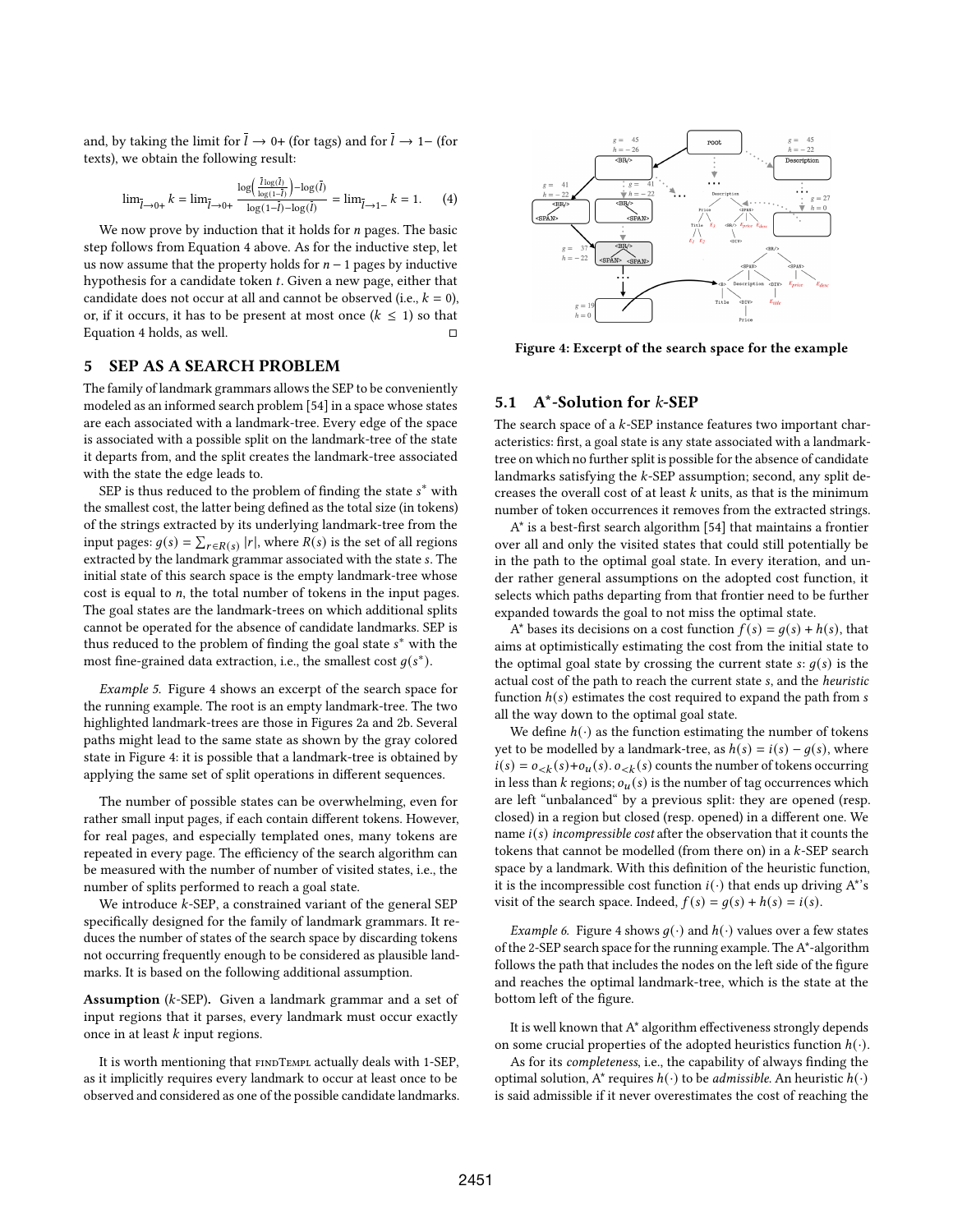and, by taking the limit for  $\bar{l} \rightarrow 0+$  (for tags) and for  $\bar{l} \rightarrow 1-$  (for texts), we obtain the following result:

$$
\lim_{\bar{l}\to 0+} k = \lim_{\bar{l}\to 0+} \frac{\log\left(\frac{\bar{l}\log(\bar{l})}{\log(1-\bar{l})}\right) - \log(\bar{l})}{\log(1-\bar{l}) - \log(\bar{l})} = \lim_{\bar{l}\to 1-} k = 1. \tag{4}
$$

We now prove by induction that it holds for  $n$  pages. The basic step follows from Equation 4 above. As for the inductive step, let us now assume that the property holds for  $n - 1$  pages by inductive hypothesis for a candidate token  $t$ . Given a new page, either that candidate does not occur at all and cannot be observed (i.e.,  $k = 0$ ), or, if it occurs, it has to be present at most once  $(k \leq 1)$  so that Equation 4 holds, as well.  $\Box$ 

# 5 SEP AS A SEARCH PROBLEM

The family of landmark grammars allows the SEP to be conveniently modeled as an informed search problem [54] in a space whose states are each associated with a landmark-tree. Every edge of the space is associated with a possible split on the landmark-tree of the state it departs from, and the split creates the landmark-tree associated with the state the edge leads to.

SEP is thus reduced to the problem of finding the state  $s^*$  with the smallest cost, the latter being defined as the total size (in tokens) of the strings extracted by its underlying landmark-tree from the input pages:  $g(s) = \sum_{r \in R(s)} |r|$ , where  $R(s)$  is the set of all regions extracted by the landmark grammar associated with the state s. The initial state of this search space is the empty landmark-tree whose cost is equal to  $n$ , the total number of tokens in the input pages. The goal states are the landmark-trees on which additional splits cannot be operated for the absence of candidate landmarks. SEP is thus reduced to the problem of finding the goal state s<sup>\*</sup> with the most fine-grained data extraction, i.e., the smallest cost  $g(s^*)$ .

Example 5. Figure 4 shows an excerpt of the search space for the running example. The root is an empty landmark-tree. The two highlighted landmark-trees are those in Figures 2a and 2b. Several paths might lead to the same state as shown by the gray colored state in Figure 4: it is possible that a landmark-tree is obtained by applying the same set of split operations in different sequences.

The number of possible states can be overwhelming, even for rather small input pages, if each contain different tokens. However, for real pages, and especially templated ones, many tokens are repeated in every page. The efficiency of the search algorithm can be measured with the number of number of visited states, i.e., the number of splits performed to reach a goal state.

We introduce  $k$ -SEP, a constrained variant of the general SEP specifically designed for the family of landmark grammars. It reduces the number of states of the search space by discarding tokens not occurring frequently enough to be considered as plausible landmarks. It is based on the following additional assumption.

Assumption ( $k$ -SEP). Given a landmark grammar and a set of input regions that it parses, every landmark must occur exactly once in at least  $k$  input regions.

It is worth mentioning that FINDTEMPL actually deals with 1-SEP, as it implicitly requires every landmark to occur at least once to be observed and considered as one of the possible candidate landmarks.



Figure 4: Excerpt of the search space for the example

# 5.1 A\*-Solution for k-SEP

The search space of a  $k$ -SEP instance features two important characteristics: first, a goal state is any state associated with a landmarktree on which no further split is possible for the absence of candidate landmarks satisfying the  $k$ -SEP assumption; second, any split decreases the overall cost of at least  $k$  units, as that is the minimum number of token occurrences it removes from the extracted strings.

A\* is a best-first search algorithm [54] that maintains a frontier over all and only the visited states that could still potentially be in the path to the optimal goal state. In every iteration, and under rather general assumptions on the adopted cost function, it selects which paths departing from that frontier need to be further expanded towards the goal to not miss the optimal state.

A\* bases its decisions on a cost function  $f(s) = g(s) + h(s)$ , that aims at optimistically estimating the cost from the initial state to the optimal goal state by crossing the current state  $s: q(s)$  is the actual cost of the path to reach the current state s, and the heuristic function  $h(s)$  estimates the cost required to expand the path from s all the way down to the optimal goal state.

We define  $h(\cdot)$  as the function estimating the number of tokens yet to be modelled by a landmark-tree, as  $h(s) = i(s) - g(s)$ , where  $i(s) = o_{< k}(s) + o_{u}(s)$ .  $o_{< k}(s)$  counts the number of tokens occurring in less than  $k$  regions;  $o<sub>u</sub>(s)$  is the number of tag occurrences which are left "unbalanced" by a previous split: they are opened (resp. closed) in a region but closed (resp. opened) in a different one. We name  $i(s)$  incompressible cost after the observation that it counts the tokens that cannot be modelled (from there on) in a  $k$ -SEP search space by a landmark. With this definition of the heuristic function, it is the incompressible cost function  $i(\cdot)$  that ends up driving A\*'s visit of the search space. Indeed,  $f(s) = g(s) + h(s) = i(s)$ .

*Example 6.* Figure 4 shows  $g(\cdot)$  and  $h(\cdot)$  values over a few states of the 2-SEP search space for the running example. The A\*-algorithm follows the path that includes the nodes on the left side of the figure and reaches the optimal landmark-tree, which is the state at the bottom left of the figure.

It is well known that A\* algorithm effectiveness strongly depends on some crucial properties of the adopted heuristics function  $h(\cdot)$ .

As for its completeness, i.e., the capability of always finding the optimal solution, A\* requires  $h(\cdot)$  to be *admissible*. An heuristic  $h(\cdot)$ is said admissible if it never overestimates the cost of reaching the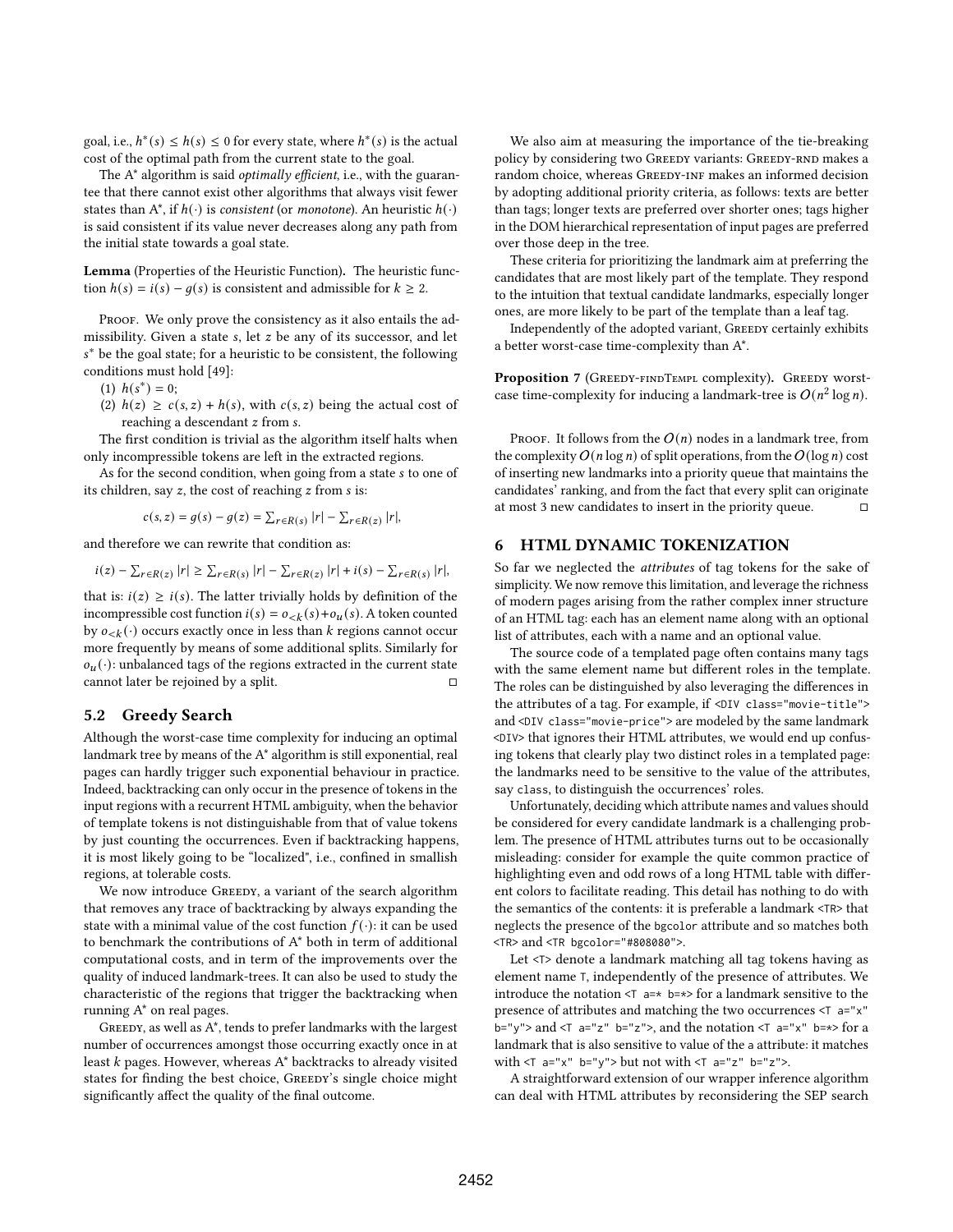goal, i.e.,  $h^*(s) \leq h(s) \leq 0$  for every state, where  $h^*(s)$  is the actual cost of the optimal path from the current state to the goal.

The A<sup>\*</sup> algorithm is said *optimally efficient*, i.e., with the guarantee that there cannot exist other algorithms that always visit fewer states than  $A^*$ , if  $h(\cdot)$  is consistent (or monotone). An heuristic  $h(\cdot)$ is said consistent if its value never decreases along any path from the initial state towards a goal state.

Lemma (Properties of the Heuristic Function). The heuristic function  $h(s) = i(s) - g(s)$  is consistent and admissible for  $k \ge 2$ .

PROOF. We only prove the consistency as it also entails the admissibility. Given a state s, let  $z$  be any of its successor, and let <sup>∗</sup> be the goal state; for a heuristic to be consistent, the following conditions must hold [49]:

(1)  $h(s^*) = 0;$ 

(2)  $h(z) \geq c(s, z) + h(s)$ , with  $c(s, z)$  being the actual cost of reaching a descendant *z* from *s*.

The first condition is trivial as the algorithm itself halts when only incompressible tokens are left in the extracted regions.

As for the second condition, when going from a state s to one of its children, say  $z$ , the cost of reaching  $z$  from  $s$  is:

$$
c(s, z) = g(s) - g(z) = \sum_{r \in R(s)} |r| - \sum_{r \in R(z)} |r|,
$$

and therefore we can rewrite that condition as:

$$
i(z) - \sum_{r \in R(z)} |r| \geq \sum_{r \in R(s)} |r| - \sum_{r \in R(z)} |r| + i(s) - \sum_{r \in R(s)} |r|,
$$

that is:  $i(z) \ge i(s)$ . The latter trivially holds by definition of the incompressible cost function  $i(s) = o_{< k}(s) + o_{u}(s)$ . A token counted by  $o_{\leq k}(\cdot)$  occurs exactly once in less than  $k$  regions cannot occur more frequently by means of some additional splits. Similarly for  $o_u(\cdot)$ : unbalanced tags of the regions extracted in the current state cannot later be rejoined by a split.  $□$ 

# 5.2 Greedy Search

Although the worst-case time complexity for inducing an optimal landmark tree by means of the A\* algorithm is still exponential, real pages can hardly trigger such exponential behaviour in practice. Indeed, backtracking can only occur in the presence of tokens in the input regions with a recurrent HTML ambiguity, when the behavior of template tokens is not distinguishable from that of value tokens by just counting the occurrences. Even if backtracking happens, it is most likely going to be "localized", i.e., confined in smallish regions, at tolerable costs.

We now introduce GREEDY, a variant of the search algorithm that removes any trace of backtracking by always expanding the state with a minimal value of the cost function  $f(\cdot)$ : it can be used to benchmark the contributions of A\* both in term of additional computational costs, and in term of the improvements over the quality of induced landmark-trees. It can also be used to study the characteristic of the regions that trigger the backtracking when running A\* on real pages.

GREEDY, as well as  $\mathbf{A}^*$  , tends to prefer landmarks with the largest number of occurrences amongst those occurring exactly once in at least  $k$  pages. However, whereas  $A^*$  backtracks to already visited states for finding the best choice, GREEDY's single choice might significantly affect the quality of the final outcome.

We also aim at measuring the importance of the tie-breaking policy by considering two GREEDY variants: GREEDY-RND makes a random choice, whereas GREEDY-INF makes an informed decision by adopting additional priority criteria, as follows: texts are better than tags; longer texts are preferred over shorter ones; tags higher in the DOM hierarchical representation of input pages are preferred over those deep in the tree.

These criteria for prioritizing the landmark aim at preferring the candidates that are most likely part of the template. They respond to the intuition that textual candidate landmarks, especially longer ones, are more likely to be part of the template than a leaf tag.

Independently of the adopted variant, GREEDY certainly exhibits a better worst-case time-complexity than A\*.

Proposition 7 (GREEDY-FINDTEMPL complexity). GREEDY worstcase time-complexity for inducing a landmark-tree is  $O(n^2 \log n)$ .

PROOF. It follows from the  $O(n)$  nodes in a landmark tree, from the complexity  $O(n \log n)$  of split operations, from the  $O(\log n)$  cost of inserting new landmarks into a priority queue that maintains the candidates' ranking, and from the fact that every split can originate at most 3 new candidates to insert in the priority queue.

# 6 HTML DYNAMIC TOKENIZATION

So far we neglected the attributes of tag tokens for the sake of simplicity. We now remove this limitation, and leverage the richness of modern pages arising from the rather complex inner structure of an HTML tag: each has an element name along with an optional list of attributes, each with a name and an optional value.

The source code of a templated page often contains many tags with the same element name but different roles in the template. The roles can be distinguished by also leveraging the differences in the attributes of a tag. For example, if <DIV class="movie-title"> and <DIV class="movie-price"> are modeled by the same landmark <DIV> that ignores their HTML attributes, we would end up confusing tokens that clearly play two distinct roles in a templated page: the landmarks need to be sensitive to the value of the attributes, say class, to distinguish the occurrences' roles.

Unfortunately, deciding which attribute names and values should be considered for every candidate landmark is a challenging problem. The presence of HTML attributes turns out to be occasionally misleading: consider for example the quite common practice of highlighting even and odd rows of a long HTML table with different colors to facilitate reading. This detail has nothing to do with the semantics of the contents: it is preferable a landmark <TR> that neglects the presence of the bgcolor attribute and so matches both <TR> and <TR bgcolor="#808080">.

Let <T> denote a landmark matching all tag tokens having as element name T, independently of the presence of attributes. We introduce the notation  $\leq$  a=\* b=\*> for a landmark sensitive to the presence of attributes and matching the two occurrences <T a="x" b="y"> and  $(T$  a="z" b="z">, and the notation  $(T$  a="x" b=\*> for a landmark that is also sensitive to value of the a attribute: it matches with  $(T$  a="x" b="y"> but not with  $(T$  a="z" b="z">.

A straightforward extension of our wrapper inference algorithm can deal with HTML attributes by reconsidering the SEP search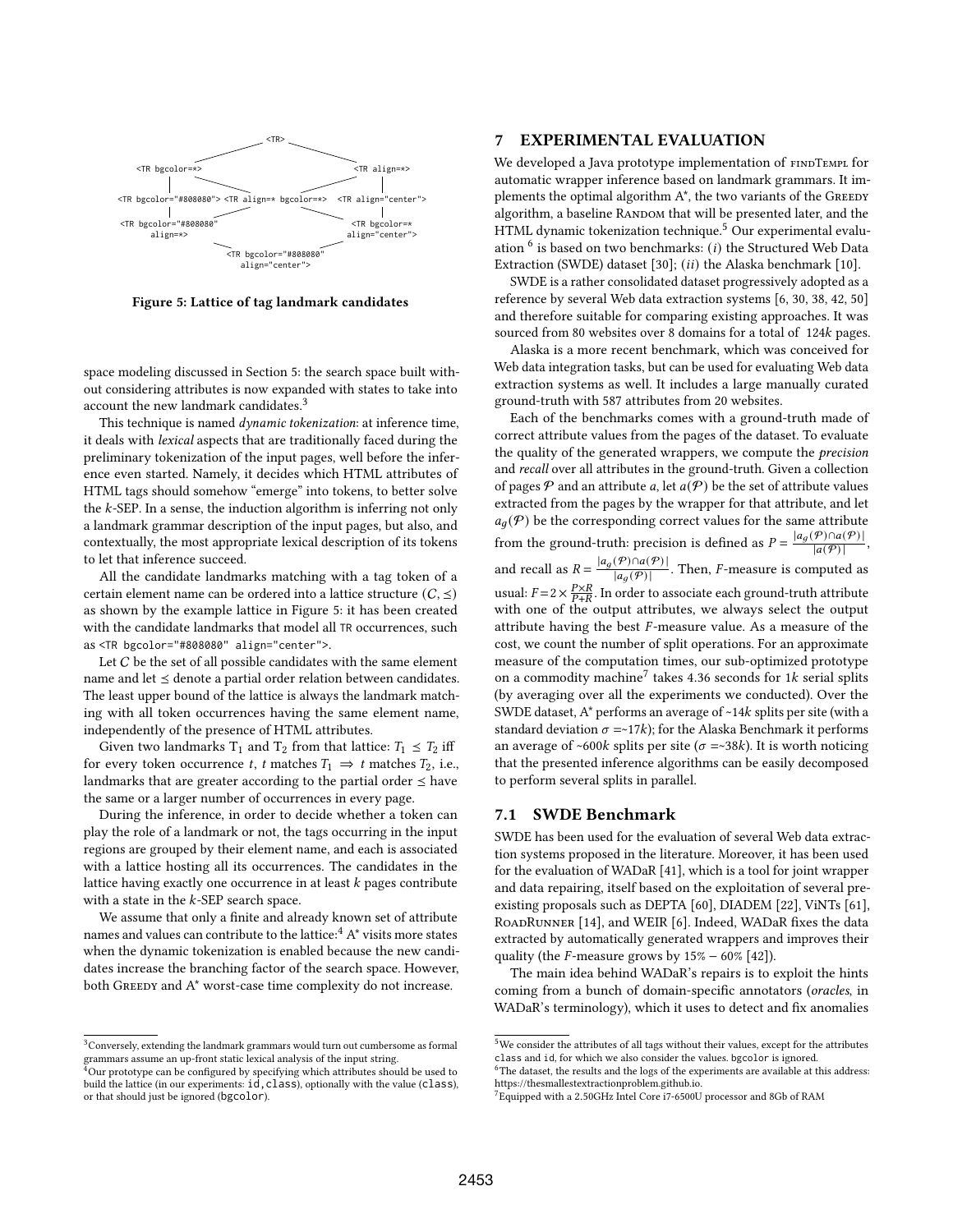

Figure 5: Lattice of tag landmark candidates

space modeling discussed in Section 5: the search space built without considering attributes is now expanded with states to take into account the new landmark candidates.<sup>3</sup>

This technique is named *dynamic tokenization*: at inference time, it deals with lexical aspects that are traditionally faced during the preliminary tokenization of the input pages, well before the inference even started. Namely, it decides which HTML attributes of HTML tags should somehow "emerge" into tokens, to better solve the  $k$ -SEP. In a sense, the induction algorithm is inferring not only a landmark grammar description of the input pages, but also, and contextually, the most appropriate lexical description of its tokens to let that inference succeed.

All the candidate landmarks matching with a tag token of a certain element name can be ordered into a lattice structure  $(C, \leq)$ as shown by the example lattice in Figure 5: it has been created with the candidate landmarks that model all TR occurrences, such as <TR bgcolor="#808080" align="center">.

Let  $C$  be the set of all possible candidates with the same element name and let  $\leq$  denote a partial order relation between candidates. The least upper bound of the lattice is always the landmark matching with all token occurrences having the same element name, independently of the presence of HTML attributes.

Given two landmarks  $T_1$  and  $T_2$  from that lattice:  $T_1 \leq T_2$  iff for every token occurrence t, t matches  $T_1 \Rightarrow t$  matches  $T_2$ , i.e., landmarks that are greater according to the partial order  $\leq$  have the same or a larger number of occurrences in every page.

During the inference, in order to decide whether a token can play the role of a landmark or not, the tags occurring in the input regions are grouped by their element name, and each is associated with a lattice hosting all its occurrences. The candidates in the lattice having exactly one occurrence in at least  $k$  pages contribute with a state in the  $k$ -SEP search space.

We assume that only a finite and already known set of attribute names and values can contribute to the lattice:  $A^*$   $\Lambda^*$  visits more states when the dynamic tokenization is enabled because the new candidates increase the branching factor of the search space. However, both GREEDY and A\* worst-case time complexity do not increase.

# 7 EXPERIMENTAL EVALUATION

We developed a Java prototype implementation of FINDTEMPL for automatic wrapper inference based on landmark grammars. It implements the optimal algorithm  $A^*$ , the two variants of the GREEDY algorithm, a baseline RANDOM that will be presented later, and the HTML dynamic tokenization technique.<sup>5</sup> Our experimental evaluation  $^6$  is based on two benchmarks: (*i*) the Structured Web Data Extraction (SWDE) dataset [30];  $(ii)$  the Alaska benchmark [10].

SWDE is a rather consolidated dataset progressively adopted as a reference by several Web data extraction systems [6, 30, 38, 42, 50] and therefore suitable for comparing existing approaches. It was sourced from 80 websites over 8 domains for a total of 124k pages.

Alaska is a more recent benchmark, which was conceived for Web data integration tasks, but can be used for evaluating Web data extraction systems as well. It includes a large manually curated ground-truth with 587 attributes from 20 websites.

Each of the benchmarks comes with a ground-truth made of correct attribute values from the pages of the dataset. To evaluate the quality of the generated wrappers, we compute the *precision* and recall over all attributes in the ground-truth. Given a collection of pages  $P$  and an attribute a, let  $a(P)$  be the set of attribute values extracted from the pages by the wrapper for that attribute, and let  $a_q(\mathcal{P})$  be the corresponding correct values for the same attribute from the ground-truth: precision is defined as  $P = \frac{|a_g(P) \cap a(P)|}{|a(P)|}$ , and recall as  $R = \frac{|a_g(\mathcal{P}) \cap a(\mathcal{P})|}{|a_g(\mathcal{P})|}$ . Then, *F*-measure is computed as usual:  $F = 2 \times \frac{P \times R}{P + R}$ . In order to associate each ground-truth attribute with one of the output attributes, we always select the output attribute having the best  $F$ -measure value. As a measure of the cost, we count the number of split operations. For an approximate measure of the computation times, our sub-optimized prototype on a commodity machine<sup>7</sup> takes 4.36 seconds for 1 $k$  serial splits (by averaging over all the experiments we conducted). Over the SWDE dataset,  $A^*$  performs an average of  $~14k$  splits per site (with a standard deviation  $\sigma = \frac{-17k}{5}$ ; for the Alaska Benchmark it performs an average of ~600k splits per site ( $\sigma$  =~38k). It is worth noticing that the presented inference algorithms can be easily decomposed to perform several splits in parallel.

# 7.1 SWDE Benchmark

SWDE has been used for the evaluation of several Web data extraction systems proposed in the literature. Moreover, it has been used for the evaluation of WADaR [41], which is a tool for joint wrapper and data repairing, itself based on the exploitation of several preexisting proposals such as DEPTA [60], DIADEM [22], ViNTs [61], RoadRunner [14], and WEIR [6]. Indeed, WADaR fixes the data extracted by automatically generated wrappers and improves their quality (the  $F$ -measure grows by  $15\% - 60\%$  [42]).

The main idea behind WADaR's repairs is to exploit the hints coming from a bunch of domain-specific annotators (oracles, in WADaR's terminology), which it uses to detect and fix anomalies

 $^3\rm Conversely, extending the landmark grammars would turn out cumbersome as formal$ grammars assume an up-front static lexical analysis of the input string.

<sup>&</sup>lt;sup>4</sup>Our prototype can be configured by specifying which attributes should be used to build the lattice (in our experiments:  $id$ , class), optionally with the value (class), or that should just be ignored (bgcolor).

 $^5\rm{We}$  consider the attributes of all tags without their values, except for the attributes class and id, for which we also consider the values. bgcolor is ignored.

 $^6$  The dataset, the results and the logs of the experiments are available at this address: [https://thesmallestextractionproblem.github.io.](https://thesmallestextractionproblem.github.io)

<sup>7</sup>Equipped with a 2.50GHz Intel Core i7-6500U processor and 8Gb of RAM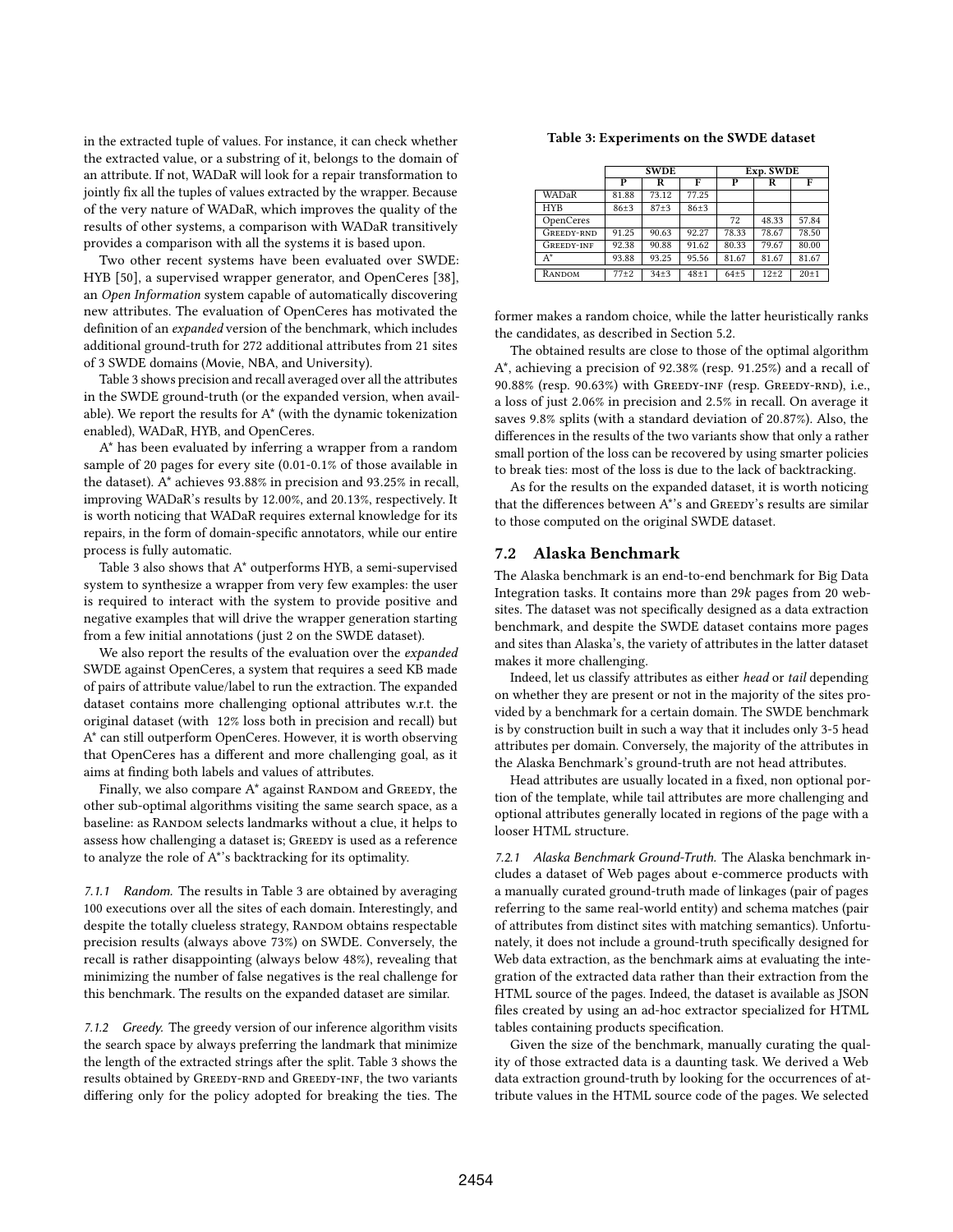in the extracted tuple of values. For instance, it can check whether the extracted value, or a substring of it, belongs to the domain of an attribute. If not, WADaR will look for a repair transformation to jointly fix all the tuples of values extracted by the wrapper. Because of the very nature of WADaR, which improves the quality of the results of other systems, a comparison with WADaR transitively provides a comparison with all the systems it is based upon.

Two other recent systems have been evaluated over SWDE: HYB [50], a supervised wrapper generator, and OpenCeres [38], an Open Information system capable of automatically discovering new attributes. The evaluation of OpenCeres has motivated the definition of an expanded version of the benchmark, which includes additional ground-truth for 272 additional attributes from 21 sites of 3 SWDE domains (Movie, NBA, and University).

Table 3 shows precision and recall averaged over all the attributes in the SWDE ground-truth (or the expanded version, when available). We report the results for A\* (with the dynamic tokenization enabled), WADaR, HYB, and OpenCeres.

A\* has been evaluated by inferring a wrapper from a random sample of 20 pages for every site (0.01-0.1% of those available in the dataset). A\* achieves 93.88% in precision and 93.25% in recall, improving WADaR's results by 12.00%, and 20.13%, respectively. It is worth noticing that WADaR requires external knowledge for its repairs, in the form of domain-specific annotators, while our entire process is fully automatic.

Table 3 also shows that A\* outperforms HYB, a semi-supervised system to synthesize a wrapper from very few examples: the user is required to interact with the system to provide positive and negative examples that will drive the wrapper generation starting from a few initial annotations (just 2 on the SWDE dataset).

We also report the results of the evaluation over the *expanded* SWDE against OpenCeres, a system that requires a seed KB made of pairs of attribute value/label to run the extraction. The expanded dataset contains more challenging optional attributes w.r.t. the original dataset (with 12% loss both in precision and recall) but A\* can still outperform OpenCeres. However, it is worth observing that OpenCeres has a different and more challenging goal, as it aims at finding both labels and values of attributes.

Finally, we also compare  $A^*$  against RANDOM and GREEDY, the other sub-optimal algorithms visiting the same search space, as a baseline: as RANDOM selects landmarks without a clue, it helps to assess how challenging a dataset is; GREEDY is used as a reference to analyze the role of A\*'s backtracking for its optimality.

7.1.1 Random. The results in Table 3 are obtained by averaging 100 executions over all the sites of each domain. Interestingly, and despite the totally clueless strategy, RANDOM obtains respectable precision results (always above 73%) on SWDE. Conversely, the recall is rather disappointing (always below 48%), revealing that minimizing the number of false negatives is the real challenge for this benchmark. The results on the expanded dataset are similar.

7.1.2 Greedy. The greedy version of our inference algorithm visits the search space by always preferring the landmark that minimize the length of the extracted strings after the split. Table 3 shows the results obtained by GREEDY-RND and GREEDY-INF, the two variants differing only for the policy adopted for breaking the ties. The

#### Table 3: Experiments on the SWDE dataset

|                   | <b>SWDE</b> |          |          | Exp. SWDE |           |          |  |
|-------------------|-------------|----------|----------|-----------|-----------|----------|--|
|                   | P           | R        | F        | P         | R         | F        |  |
| WADaR             | 81.88       | 73.12    | 77.25    |           |           |          |  |
| <b>HYB</b>        | $86 + 3$    | $87 + 3$ | $86 + 3$ |           |           |          |  |
| OpenCeres         |             |          |          | 72        | 48.33     | 57.84    |  |
| GREEDY-RND        | 91.25       | 90.63    | 92.27    | 78.33     | 78.67     | 78.50    |  |
| <b>GREEDY-INF</b> | 92.38       | 90.88    | 91.62    | 80.33     | 79.67     | 80.00    |  |
| $A^*$             | 93.88       | 93.25    | 95.56    | 81.67     | 81.67     | 81.67    |  |
| RANDOM            | $77\pm2$    | $34 + 3$ | $48 + 1$ | $64 + 5$  | $12\pm 2$ | $20 + 1$ |  |

former makes a random choice, while the latter heuristically ranks the candidates, as described in Section 5.2.

The obtained results are close to those of the optimal algorithm A\*, achieving a precision of 92.38% (resp. 91.25%) and a recall of 90.88% (resp. 90.63%) with Greedy-inf (resp. Greedy-rnd), i.e., a loss of just 2.06% in precision and 2.5% in recall. On average it saves 9.8% splits (with a standard deviation of 20.87%). Also, the differences in the results of the two variants show that only a rather small portion of the loss can be recovered by using smarter policies to break ties: most of the loss is due to the lack of backtracking.

As for the results on the expanded dataset, it is worth noticing that the differences between A\*'s and GREEDY's results are similar to those computed on the original SWDE dataset.

## 7.2 Alaska Benchmark

The Alaska benchmark is an end-to-end benchmark for Big Data Integration tasks. It contains more than  $29k$  pages from  $20$  websites. The dataset was not specifically designed as a data extraction benchmark, and despite the SWDE dataset contains more pages and sites than Alaska's, the variety of attributes in the latter dataset makes it more challenging.

Indeed, let us classify attributes as either head or tail depending on whether they are present or not in the majority of the sites provided by a benchmark for a certain domain. The SWDE benchmark is by construction built in such a way that it includes only 3-5 head attributes per domain. Conversely, the majority of the attributes in the Alaska Benchmark's ground-truth are not head attributes.

Head attributes are usually located in a fixed, non optional portion of the template, while tail attributes are more challenging and optional attributes generally located in regions of the page with a looser HTML structure.

7.2.1 Alaska Benchmark Ground-Truth. The Alaska benchmark includes a dataset of Web pages about e-commerce products with a manually curated ground-truth made of linkages (pair of pages referring to the same real-world entity) and schema matches (pair of attributes from distinct sites with matching semantics). Unfortunately, it does not include a ground-truth specifically designed for Web data extraction, as the benchmark aims at evaluating the integration of the extracted data rather than their extraction from the HTML source of the pages. Indeed, the dataset is available as JSON files created by using an ad-hoc extractor specialized for HTML tables containing products specification.

Given the size of the benchmark, manually curating the quality of those extracted data is a daunting task. We derived a Web data extraction ground-truth by looking for the occurrences of attribute values in the HTML source code of the pages. We selected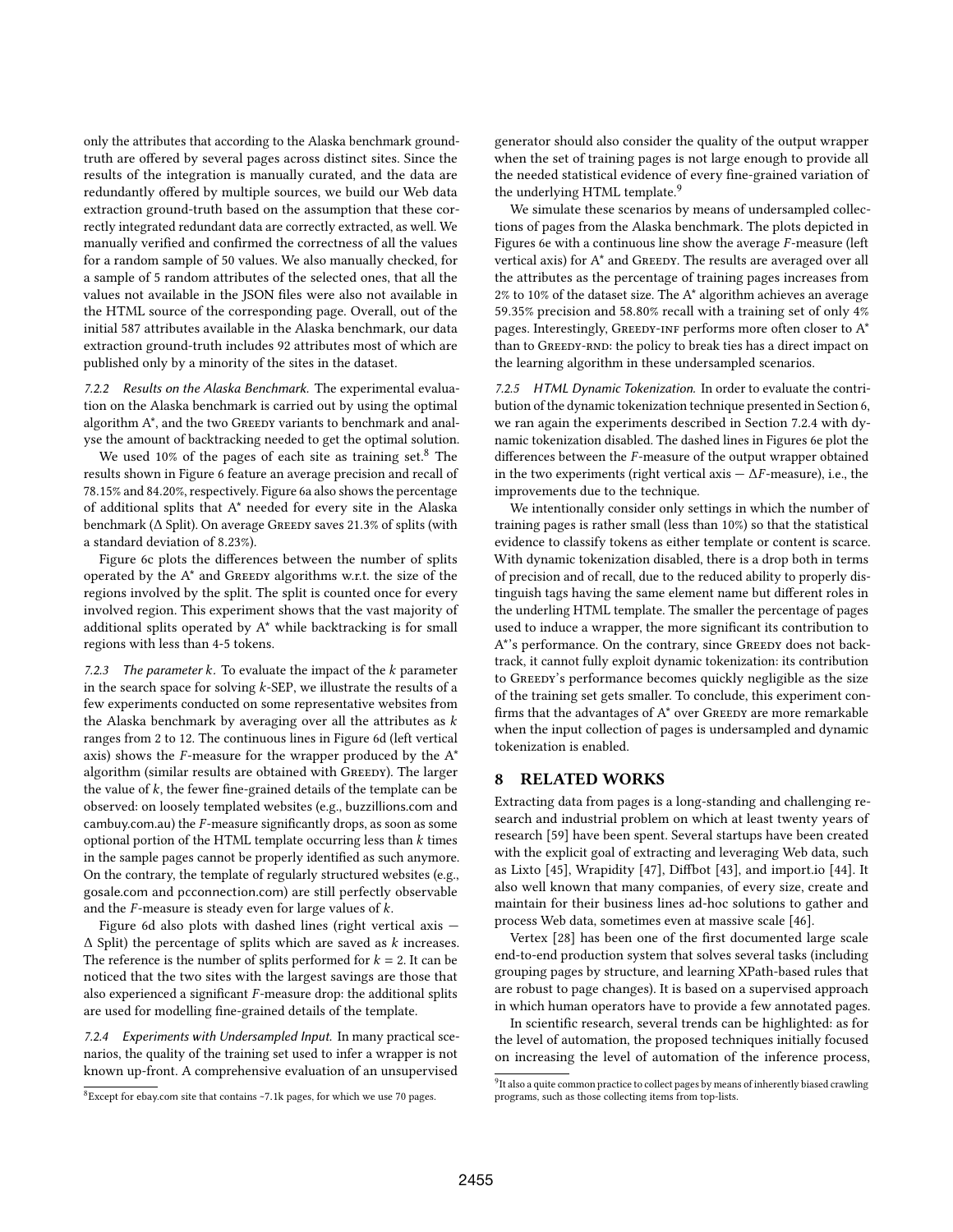only the attributes that according to the Alaska benchmark groundtruth are offered by several pages across distinct sites. Since the results of the integration is manually curated, and the data are redundantly offered by multiple sources, we build our Web data extraction ground-truth based on the assumption that these correctly integrated redundant data are correctly extracted, as well. We manually verified and confirmed the correctness of all the values for a random sample of 50 values. We also manually checked, for a sample of 5 random attributes of the selected ones, that all the values not available in the JSON files were also not available in the HTML source of the corresponding page. Overall, out of the initial 587 attributes available in the Alaska benchmark, our data extraction ground-truth includes 92 attributes most of which are published only by a minority of the sites in the dataset.

7.2.2 Results on the Alaska Benchmark. The experimental evaluation on the Alaska benchmark is carried out by using the optimal algorithm A\*, and the two Greedy variants to benchmark and analyse the amount of backtracking needed to get the optimal solution.

We used 10% of the pages of each site as training set.<sup>8</sup> The results shown in Figure 6 feature an average precision and recall of 78.15% and 84.20%, respectively. Figure 6a also shows the percentage of additional splits that A\* needed for every site in the Alaska benchmark ( $\Delta$  Split). On average Greedy saves 21.3% of splits (with a standard deviation of 8.23%).

Figure 6c plots the differences between the number of splits operated by the  $A^*$  and GREEDY algorithms w.r.t. the size of the regions involved by the split. The split is counted once for every involved region. This experiment shows that the vast majority of additional splits operated by A\* while backtracking is for small regions with less than 4-5 tokens.

7.2.3 The parameter  $k$ . To evaluate the impact of the  $k$  parameter in the search space for solving  $k$ -SEP, we illustrate the results of a few experiments conducted on some representative websites from the Alaska benchmark by averaging over all the attributes as  $k$ ranges from 2 to 12. The continuous lines in Figure 6d (left vertical axis) shows the  $F$ -measure for the wrapper produced by the  $A^*$ algorithm (similar results are obtained with GREEDY). The larger the value of  $k$ , the fewer fine-grained details of the template can be observed: on loosely templated websites (e.g., buzzillions.com and cambuy.com.au) the  $F$ -measure significantly drops, as soon as some optional portion of the HTML template occurring less than  $k$  times in the sample pages cannot be properly identified as such anymore. On the contrary, the template of regularly structured websites (e.g., gosale.com and pcconnection.com) are still perfectly observable and the  $F$ -measure is steady even for large values of  $k$ .

Figure 6d also plots with dashed lines (right vertical axis —  $\Delta$  Split) the percentage of splits which are saved as  $k$  increases. The reference is the number of splits performed for  $k = 2$ . It can be noticed that the two sites with the largest savings are those that also experienced a significant  $F$ -measure drop: the additional splits are used for modelling fine-grained details of the template.

7.2.4 Experiments with Undersampled Input. In many practical scenarios, the quality of the training set used to infer a wrapper is not known up-front. A comprehensive evaluation of an unsupervised

<sup>8</sup>Except for ebay.com site that contains<~>7.1k pages, for which we use 70 pages.

generator should also consider the quality of the output wrapper when the set of training pages is not large enough to provide all the needed statistical evidence of every fine-grained variation of the underlying HTML template.<sup>9</sup>

We simulate these scenarios by means of undersampled collections of pages from the Alaska benchmark. The plots depicted in Figures 6e with a continuous line show the average  $F$ -measure (left vertical axis) for A\* and GREEDY. The results are averaged over all the attributes as the percentage of training pages increases from 2% to 10% of the dataset size. The A\* algorithm achieves an average 59.35% precision and 58.80% recall with a training set of only 4% pages. Interestingly, GREEDY-INF performs more often closer to  $A^*$ than to GREEDY-RND: the policy to break ties has a direct impact on the learning algorithm in these undersampled scenarios.

7.2.5 HTML Dynamic Tokenization. In order to evaluate the contribution of the dynamic tokenization technique presented in Section 6, we ran again the experiments described in Section 7.2.4 with dynamic tokenization disabled. The dashed lines in Figures 6e plot the differences between the  $F$ -measure of the output wrapper obtained in the two experiments (right vertical axis  $-\Delta F$ -measure), i.e., the improvements due to the technique.

We intentionally consider only settings in which the number of training pages is rather small (less than 10%) so that the statistical evidence to classify tokens as either template or content is scarce. With dynamic tokenization disabled, there is a drop both in terms of precision and of recall, due to the reduced ability to properly distinguish tags having the same element name but different roles in the underling HTML template. The smaller the percentage of pages used to induce a wrapper, the more significant its contribution to A\*'s performance. On the contrary, since GREEDY does not backtrack, it cannot fully exploit dynamic tokenization: its contribution to GREEDY's performance becomes quickly negligible as the size of the training set gets smaller. To conclude, this experiment confirms that the advantages of  $A^*$  over GREEDY are more remarkable when the input collection of pages is undersampled and dynamic tokenization is enabled.

# 8 RELATED WORKS

Extracting data from pages is a long-standing and challenging research and industrial problem on which at least twenty years of research [59] have been spent. Several startups have been created with the explicit goal of extracting and leveraging Web data, such as Lixto [45], Wrapidity [47], Diffbot [43], and import.io [44]. It also well known that many companies, of every size, create and maintain for their business lines ad-hoc solutions to gather and process Web data, sometimes even at massive scale [46].

Vertex [28] has been one of the first documented large scale end-to-end production system that solves several tasks (including grouping pages by structure, and learning XPath-based rules that are robust to page changes). It is based on a supervised approach in which human operators have to provide a few annotated pages.

In scientific research, several trends can be highlighted: as for the level of automation, the proposed techniques initially focused on increasing the level of automation of the inference process,

<sup>&</sup>lt;sup>9</sup>It also a quite common practice to collect pages by means of inherently biased crawling programs, such as those collecting items from top-lists.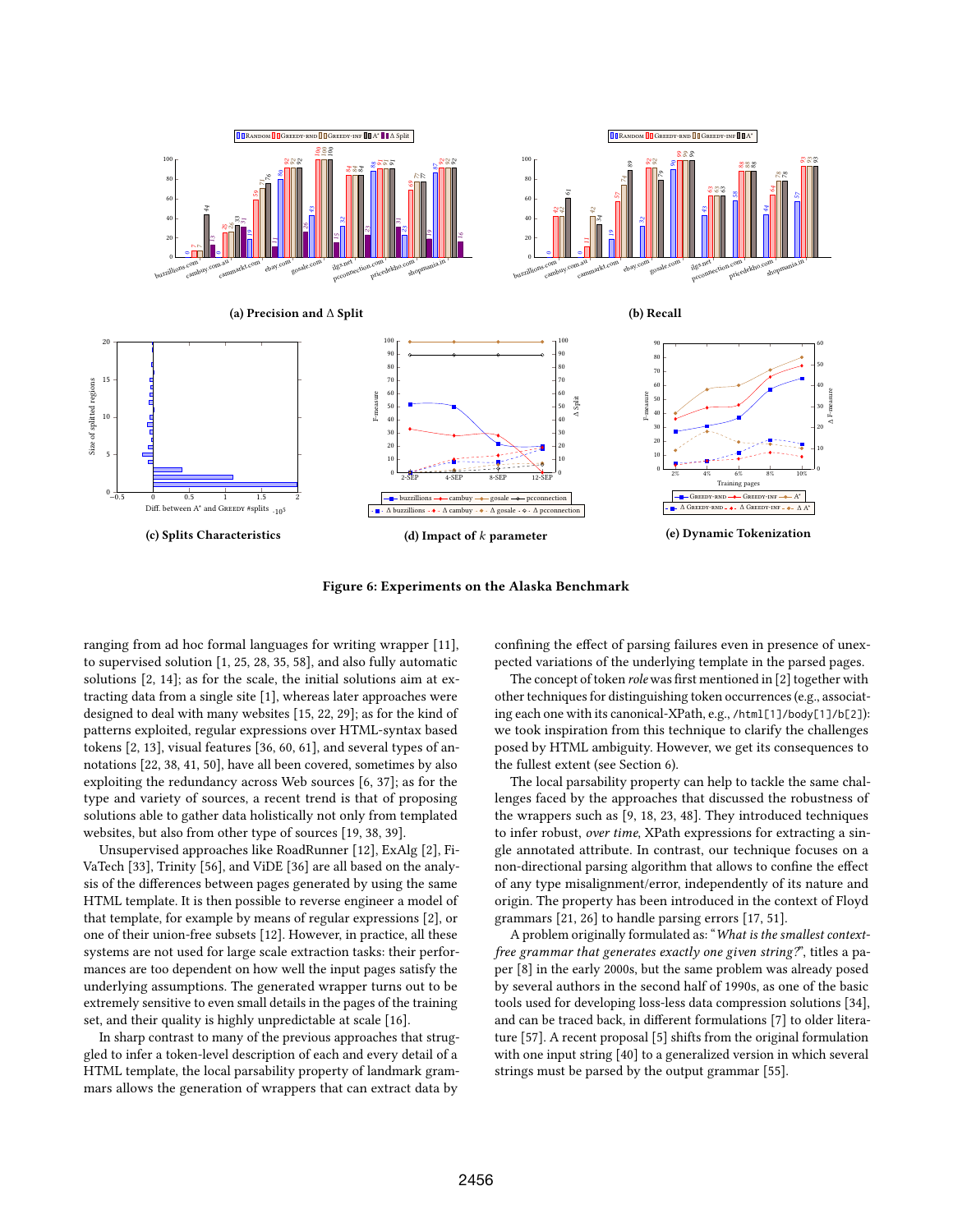

Figure 6: Experiments on the Alaska Benchmark

ranging from ad hoc formal languages for writing wrapper [11], to supervised solution [1, 25, 28, 35, 58], and also fully automatic solutions [2, 14]; as for the scale, the initial solutions aim at extracting data from a single site [1], whereas later approaches were designed to deal with many websites [15, 22, 29]; as for the kind of patterns exploited, regular expressions over HTML-syntax based tokens [2, 13], visual features [36, 60, 61], and several types of annotations [22, 38, 41, 50], have all been covered, sometimes by also exploiting the redundancy across Web sources [6, 37]; as for the type and variety of sources, a recent trend is that of proposing solutions able to gather data holistically not only from templated websites, but also from other type of sources [19, 38, 39].

Unsupervised approaches like RoadRunner [12], ExAlg [2], Fi-VaTech [33], Trinity [56], and ViDE [36] are all based on the analysis of the differences between pages generated by using the same HTML template. It is then possible to reverse engineer a model of that template, for example by means of regular expressions [2], or one of their union-free subsets [12]. However, in practice, all these systems are not used for large scale extraction tasks: their performances are too dependent on how well the input pages satisfy the underlying assumptions. The generated wrapper turns out to be extremely sensitive to even small details in the pages of the training set, and their quality is highly unpredictable at scale [16].

In sharp contrast to many of the previous approaches that struggled to infer a token-level description of each and every detail of a HTML template, the local parsability property of landmark grammars allows the generation of wrappers that can extract data by

confining the effect of parsing failures even in presence of unexpected variations of the underlying template in the parsed pages.

The concept of token role was first mentioned in [2] together with other techniques for distinguishing token occurrences (e.g., associating each one with its canonical-XPath, e.g., /html[1]/body[1]/b[2]): we took inspiration from this technique to clarify the challenges posed by HTML ambiguity. However, we get its consequences to the fullest extent (see Section 6).

The local parsability property can help to tackle the same challenges faced by the approaches that discussed the robustness of the wrappers such as [9, 18, 23, 48]. They introduced techniques to infer robust, over time, XPath expressions for extracting a single annotated attribute. In contrast, our technique focuses on a non-directional parsing algorithm that allows to confine the effect of any type misalignment/error, independently of its nature and origin. The property has been introduced in the context of Floyd grammars [21, 26] to handle parsing errors [17, 51].

A problem originally formulated as: "What is the smallest contextfree grammar that generates exactly one given string?", titles a paper [8] in the early 2000s, but the same problem was already posed by several authors in the second half of 1990s, as one of the basic tools used for developing loss-less data compression solutions [34], and can be traced back, in different formulations [7] to older literature [57]. A recent proposal [5] shifts from the original formulation with one input string [40] to a generalized version in which several strings must be parsed by the output grammar [55].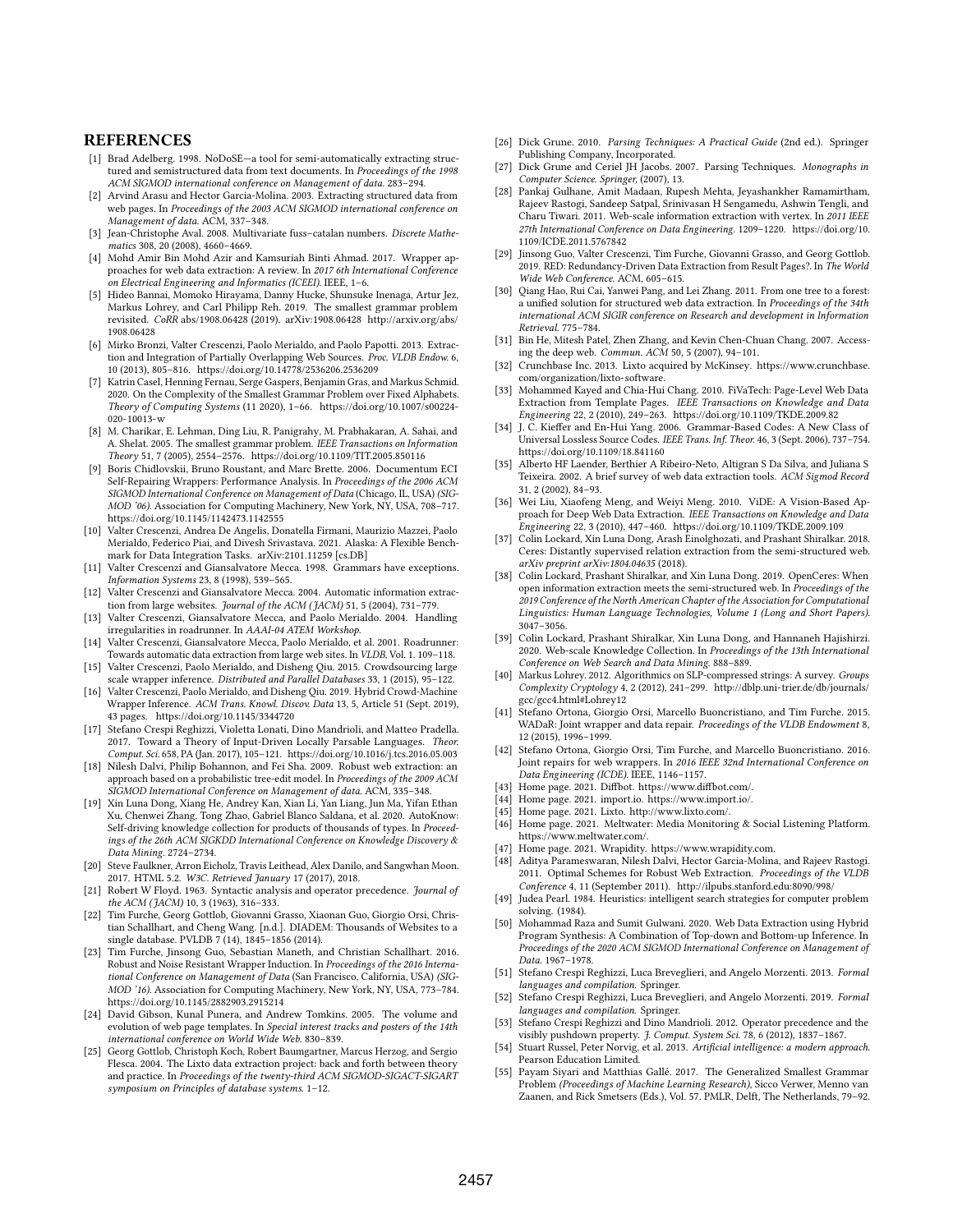# **REFERENCES**

- [1] Brad Adelberg. 1998. NoDoSE—a tool for semi-automatically extracting structured and semistructured data from text documents. In Proceedings of the 1998 ACM SIGMOD international conference on Management of data. 283–294.
- [2] Arvind Arasu and Hector Garcia-Molina. 2003. Extracting structured data from web pages. In Proceedings of the 2003 ACM SIGMOD international conference on Management of data. ACM, 337–348.
- [3] Jean-Christophe Aval. 2008. Multivariate fuss–catalan numbers. Discrete Mathematics 308, 20 (2008), 4660–4669.
- [4] Mohd Amir Bin Mohd Azir and Kamsuriah Binti Ahmad. 2017. Wrapper approaches for web data extraction: A review. In 2017 6th International Conference on Electrical Engineering and Informatics (ICEEI). IEEE, 1–6.
- [5] Hideo Bannai, Momoko Hirayama, Danny Hucke, Shunsuke Inenaga, Artur Jez, Markus Lohrey, and Carl Philipp Reh. 2019. The smallest grammar problem revisited. CoRR abs/1908.06428 (2019). arXiv[:1908.06428](https://arxiv.org/abs/1908.06428) [http://arxiv.org/abs/](http://arxiv.org/abs/1908.06428) [1908.06428](http://arxiv.org/abs/1908.06428)
- [6] Mirko Bronzi, Valter Crescenzi, Paolo Merialdo, and Paolo Papotti. 2013. Extraction and Integration of Partially Overlapping Web Sources. Proc. VLDB Endow. 6, 10 (2013), 805–816.<https://doi.org/10.14778/2536206.2536209>
- [7] Katrin Casel, Henning Fernau, Serge Gaspers, Benjamin Gras, and Markus Schmid. 2020. On the Complexity of the Smallest Grammar Problem over Fixed Alphabets. Theory of Computing Systems (11 2020), 1–66. [https://doi.org/10.1007/s00224-](https://doi.org/10.1007/s00224-020-10013-w)  $020 - 10013 - w$
- [8] M. Charikar, E. Lehman, Ding Liu, R. Panigrahy, M. Prabhakaran, A. Sahai, and A. Shelat. 2005. The smallest grammar problem. IEEE Transactions on Information Theory 51, 7 (2005), 2554–2576.<https://doi.org/10.1109/TIT.2005.850116>
- [9] Boris Chidlovskii, Bruno Roustant, and Marc Brette. 2006. Documentum ECI Self-Repairing Wrappers: Performance Analysis. In Proceedings of the 2006 ACM SIGMOD International Conference on Management of Data (Chicago, IL, USA) (SIG-MOD '06). Association for Computing Machinery, New York, NY, USA, 708–717. <https://doi.org/10.1145/1142473.1142555>
- [10] Valter Crescenzi, Andrea De Angelis, Donatella Firmani, Maurizio Mazzei, Paolo Merialdo, Federico Piai, and Divesh Srivastava. 2021. Alaska: A Flexible Benchmark for Data Integration Tasks. arXiv[:2101.11259](https://arxiv.org/abs/2101.11259) [cs.DB]
- [11] Valter Crescenzi and Giansalvatore Mecca. 1998. Grammars have exceptions. Information Systems 23, 8 (1998), 539–565.
- [12] Valter Crescenzi and Giansalvatore Mecca. 2004. Automatic information extraction from large websites. Journal of the ACM (JACM) 51, 5 (2004), 731–779.
- [13] Valter Crescenzi, Giansalvatore Mecca, and Paolo Merialdo. 2004. Handling irregularities in roadrunner. In AAAI-04 ATEM Workshop.
- [14] Valter Crescenzi, Giansalvatore Mecca, Paolo Merialdo, et al. 2001. Roadrunner: Towards automatic data extraction from large web sites. In VLDB, Vol. 1. 109–118.
- [15] Valter Crescenzi, Paolo Merialdo, and Disheng Qiu. 2015. Crowdsourcing large scale wrapper inference. Distributed and Parallel Databases 33, 1 (2015), 95–122.
- [16] Valter Crescenzi, Paolo Merialdo, and Disheng Qiu. 2019. Hybrid Crowd-Machine Wrapper Inference. ACM Trans. Knowl. Discov. Data 13, 5, Article 51 (Sept. 2019), 43 pages.<https://doi.org/10.1145/3344720>
- [17] Stefano Crespi Reghizzi, Violetta Lonati, Dino Mandrioli, and Matteo Pradella. 2017. Toward a Theory of Input-Driven Locally Parsable Languages. Theor. Comput. Sci. 658, PA (Jan. 2017), 105–121.<https://doi.org/10.1016/j.tcs.2016.05.003>
- [18] Nilesh Dalvi, Philip Bohannon, and Fei Sha. 2009. Robust web extraction: an approach based on a probabilistic tree-edit model. In Proceedings of the 2009 ACM SIGMOD International Conference on Management of data. ACM, 335–348.
- [19] Xin Luna Dong, Xiang He, Andrey Kan, Xian Li, Yan Liang, Jun Ma, Yifan Ethan Xu, Chenwei Zhang, Tong Zhao, Gabriel Blanco Saldana, et al. 2020. AutoKnow: Self-driving knowledge collection for products of thousands of types. In Proceedings of the 26th ACM SIGKDD International Conference on Knowledge Discovery & Data Mining. 2724–2734.
- [20] Steve Faulkner, Arron Eicholz, Travis Leithead, Alex Danilo, and Sangwhan Moon. 2017. HTML 5.2. W3C. Retrieved January 17 (2017), 2018.
- [21] Robert W Floyd. 1963. Syntactic analysis and operator precedence. Journal of the ACM (JACM) 10, 3 (1963), 316–333.
- [22] Tim Furche, Georg Gottlob, Giovanni Grasso, Xiaonan Guo, Giorgio Orsi, Christian Schallhart, and Cheng Wang. [n.d.]. DIADEM: Thousands of Websites to a single database. PVLDB 7 (14), 1845–1856 (2014).
- [23] Tim Furche, Jinsong Guo, Sebastian Maneth, and Christian Schallhart. 2016. Robust and Noise Resistant Wrapper Induction. In Proceedings of the 2016 International Conference on Management of Data (San Francisco, California, USA) (SIG-MOD '16). Association for Computing Machinery, New York, NY, USA, 773–784. <https://doi.org/10.1145/2882903.2915214>
- [24] David Gibson, Kunal Punera, and Andrew Tomkins. 2005. The volume and evolution of web page templates. In Special interest tracks and posters of the 14th international conference on World Wide Web. 830–839.
- [25] Georg Gottlob, Christoph Koch, Robert Baumgartner, Marcus Herzog, and Sergio Flesca. 2004. The Lixto data extraction project: back and forth between theory and practice. In Proceedings of the twenty-third ACM SIGMOD-SIGACT-SIGART symposium on Principles of database systems. 1–12.
- [26] Dick Grune. 2010. Parsing Techniques: A Practical Guide (2nd ed.). Springer Publishing Company, Incorporated.
- [27] Dick Grune and Ceriel JH Jacobs. 2007. Parsing Techniques. Monographs in Computer Science. Springer, (2007), 13.
- [28] Pankaj Gulhane, Amit Madaan, Rupesh Mehta, Jeyashankher Ramamirtham, Rajeev Rastogi, Sandeep Satpal, Srinivasan H Sengamedu, Ashwin Tengli, and Charu Tiwari. 2011. Web-scale information extraction with vertex. In 2011 IEEE 27th International Conference on Data Engineering. 1209–1220. [https://doi.org/10.](https://doi.org/10.1109/ICDE.2011.5767842) [1109/ICDE.2011.5767842](https://doi.org/10.1109/ICDE.2011.5767842)
- [29] Jinsong Guo, Valter Crescenzi, Tim Furche, Giovanni Grasso, and Georg Gottlob. 2019. RED: Redundancy-Driven Data Extraction from Result Pages?. In The World Wide Web Conference. ACM, 605–615.
- [30] Qiang Hao, Rui Cai, Yanwei Pang, and Lei Zhang. 2011. From one tree to a forest: a unified solution for structured web data extraction. In Proceedings of the 34th international ACM SIGIR conference on Research and development in Information Retrieval. 775–784.
- [31] Bin He, Mitesh Patel, Zhen Zhang, and Kevin Chen-Chuan Chang. 2007. Accessing the deep web. Commun. ACM 50, 5 (2007), 94–101.
- [32] Crunchbase Inc. 2013. Lixto acquired by McKinsey. [https://www.crunchbase.](https://www.crunchbase.com/organization/lixto-software) [com/organization/lixto-software.](https://www.crunchbase.com/organization/lixto-software)
- [33] Mohammed Kayed and Chia-Hui Chang. 2010. FiVaTech: Page-Level Web Data Extraction from Template Pages. IEEE Transactions on Knowledge and Data Engineering 22, 2 (2010), 249–263.<https://doi.org/10.1109/TKDE.2009.82>
- [34] J. C. Kieffer and En-Hui Yang. 2006. Grammar-Based Codes: A New Class of Universal Lossless Source Codes. IEEE Trans. Inf. Theor. 46, 3 (Sept. 2006), 737–754. <https://doi.org/10.1109/18.841160>
- [35] Alberto HF Laender, Berthier A Ribeiro-Neto, Altigran S Da Silva, and Juliana S Teixeira. 2002. A brief survey of web data extraction tools. ACM Sigmod Record 31, 2 (2002), 84–93.
- [36] Wei Liu, Xiaofeng Meng, and Weiyi Meng. 2010. ViDE: A Vision-Based Approach for Deep Web Data Extraction. IEEE Transactions on Knowledge and Data Engineering 22, 3 (2010), 447–460.<https://doi.org/10.1109/TKDE.2009.109>
- [37] Colin Lockard, Xin Luna Dong, Arash Einolghozati, and Prashant Shiralkar. 2018. Ceres: Distantly supervised relation extraction from the semi-structured web. arXiv preprint arXiv:1804.04635 (2018).
- [38] Colin Lockard, Prashant Shiralkar, and Xin Luna Dong. 2019. OpenCeres: When open information extraction meets the semi-structured web. In Proceedings of the 2019 Conference of the North American Chapter of the Association for Computational Linguistics: Human Language Technologies, Volume 1 (Long and Short Papers). 3047–3056.
- [39] Colin Lockard, Prashant Shiralkar, Xin Luna Dong, and Hannaneh Hajishirzi. 2020. Web-scale Knowledge Collection. In Proceedings of the 13th International Conference on Web Search and Data Mining. 888–889.
- [40] Markus Lohrey. 2012. Algorithmics on SLP-compressed strings: A survey. Groups Complexity Cryptology 4, 2 (2012), 241–299. [http://dblp.uni-trier.de/db/journals/](http://dblp.uni-trier.de/db/journals/gcc/gcc4.html#Lohrey12) [gcc/gcc4.html#Lohrey12](http://dblp.uni-trier.de/db/journals/gcc/gcc4.html#Lohrey12)
- [41] Stefano Ortona, Giorgio Orsi, Marcello Buoncristiano, and Tim Furche. 2015. WADaR: Joint wrapper and data repair. Proceedings of the VLDB Endowment 8, 12 (2015), 1996–1999.
- [42] Stefano Ortona, Giorgio Orsi, Tim Furche, and Marcello Buoncristiano. 2016. Joint repairs for web wrappers. In 2016 IEEE 32nd International Conference on Data Engineering (ICDE). IEEE, 1146–1157.
- [43] Home page. 2021. Diffbot. [https://www.diffbot.com/.](https://www.diffbot.com/)
- [44] Home page. 2021. import.io. [https://www.import.io/.](https://www.import.io/)
- [45] Home page. 2021. Lixto. [http://www.lixto.com/.](http://www.lixto.com/)
- [46] Home page. 2021. Meltwater: Media Monitoring & Social Listening Platform. [https://www.meltwater.com/.](https://www.meltwater.com/)
- [47] Home page. 2021. Wrapidity. [https://www.wrapidity.com.](https://www.wrapidity.com)
- Aditya Parameswaran, Nilesh Dalvi, Hector Garcia-Molina, and Rajeev Rastogi. 2011. Optimal Schemes for Robust Web Extraction. Proceedings of the VLDB Conference 4, 11 (September 2011).<http://ilpubs.stanford.edu:8090/998/>
- [49] Judea Pearl. 1984. Heuristics: intelligent search strategies for computer problem solving. (1984).
- [50] Mohammad Raza and Sumit Gulwani. 2020. Web Data Extraction using Hybrid Program Synthesis: A Combination of Top-down and Bottom-up Inference. In Proceedings of the 2020 ACM SIGMOD International Conference on Management of Data. 1967–1978.
- [51] Stefano Crespi Reghizzi, Luca Breveglieri, and Angelo Morzenti. 2013. Formal languages and compilation. Springer.
- [52] Stefano Crespi Reghizzi, Luca Breveglieri, and Angelo Morzenti. 2019. Formal languages and compilation. Springer.
- [53] Stefano Crespi Reghizzi and Dino Mandrioli. 2012. Operator precedence and the visibly pushdown property. J. Comput. System Sci. 78, 6 (2012), 1837–1867.
- [54] Stuart Russel, Peter Norvig, et al. 2013. Artificial intelligence: a modern approach. Pearson Education Limited.
- [55] Payam Siyari and Matthias Gallé. 2017. The Generalized Smallest Grammar Problem (Proceedings of Machine Learning Research), Sicco Verwer, Menno van Zaanen, and Rick Smetsers (Eds.), Vol. 57. PMLR, Delft, The Netherlands, 79–92.